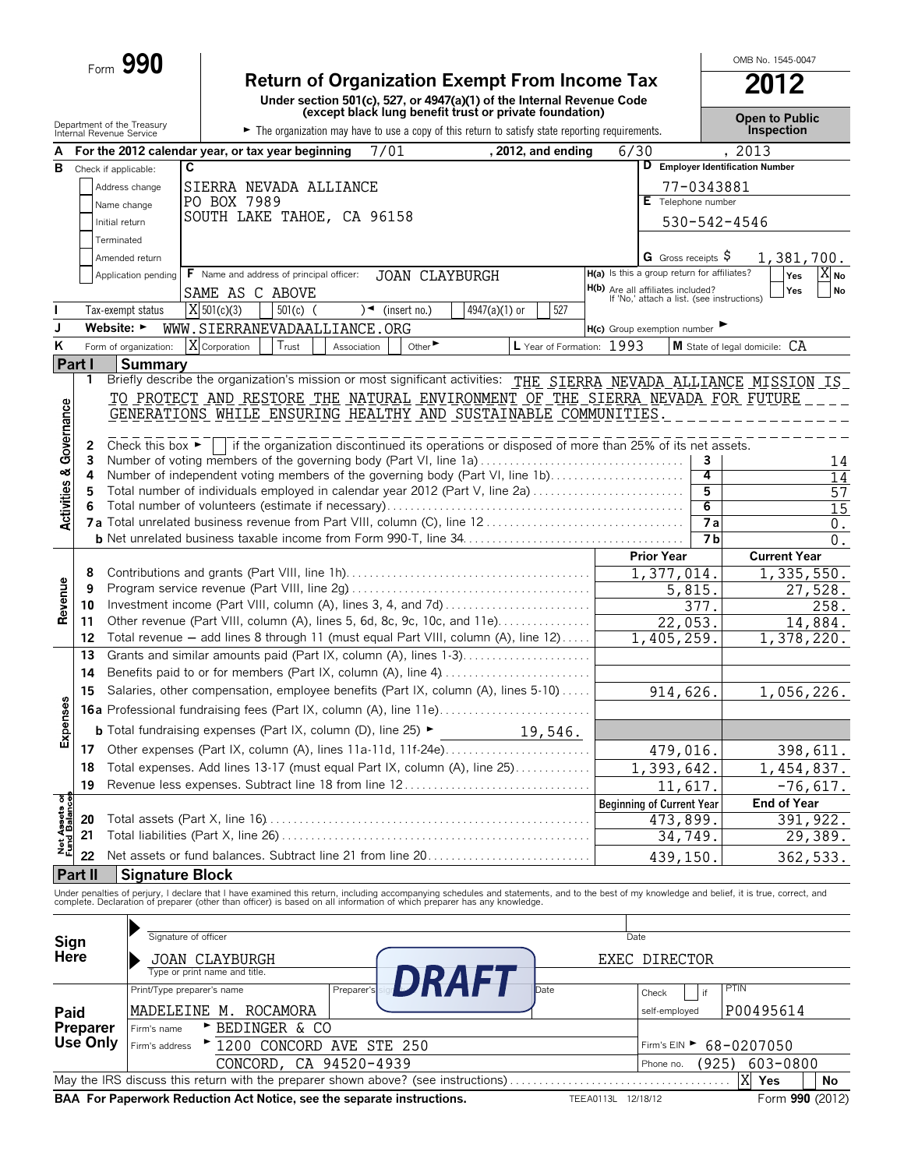|                               |                | Form $990$                                             |                                                                                                                                                                                                                                   |                                                                                        | OMB No. 1545-0047                   |
|-------------------------------|----------------|--------------------------------------------------------|-----------------------------------------------------------------------------------------------------------------------------------------------------------------------------------------------------------------------------------|----------------------------------------------------------------------------------------|-------------------------------------|
|                               |                |                                                        | <b>Return of Organization Exempt From Income Tax</b><br>Under section 501(c), 527, or 4947(a)(1) of the Internal Revenue Code (except black lung benefit trust or private foundation)                                             |                                                                                        | 2012                                |
|                               |                | Department of the Treasury<br>Internal Revenue Service | The organization may have to use a copy of this return to satisfy state reporting requirements.                                                                                                                                   |                                                                                        | <b>Open to Public</b><br>Inspection |
|                               |                |                                                        | 7/01<br>, 2012, and ending<br>For the 2012 calendar year, or tax year beginning                                                                                                                                                   | 6/30                                                                                   | 2013                                |
| в                             |                | Check if applicable:                                   | C                                                                                                                                                                                                                                 | D Employer Identification Number                                                       |                                     |
|                               |                | Address change                                         | SIERRA NEVADA ALLIANCE                                                                                                                                                                                                            | 77-0343881                                                                             |                                     |
|                               |                | Name change                                            | PO BOX 7989                                                                                                                                                                                                                       | E Telephone number                                                                     |                                     |
|                               |                |                                                        | SOUTH LAKE TAHOE, CA 96158                                                                                                                                                                                                        |                                                                                        |                                     |
|                               |                | Initial return                                         |                                                                                                                                                                                                                                   | 530-542-4546                                                                           |                                     |
|                               |                | Terminated                                             |                                                                                                                                                                                                                                   |                                                                                        |                                     |
|                               |                | Amended return                                         |                                                                                                                                                                                                                                   | G Gross receipts $\varsigma$                                                           | 1,381,700.                          |
|                               |                | Application pending                                    | F Name and address of principal officer:<br><b>JOAN CLAYBURGH</b>                                                                                                                                                                 | H(a) Is this a group return for affiliates?                                            | X <sub>No</sub><br>Yes              |
|                               |                |                                                        | SAME AS C ABOVE                                                                                                                                                                                                                   | <b>H(b)</b> Are all affiliates included?<br>If 'No,' attach a list. (see instructions) | Yes<br><b>No</b>                    |
|                               |                | Tax-exempt status                                      | X 501(c)(3)<br>527<br>$501(c)$ (<br>4947(a)(1) or<br>$\sqrt{\bullet}$ (insert no.)                                                                                                                                                |                                                                                        |                                     |
| J.                            |                | Website: $\blacktriangleright$                         | WWW.SIERRANEVADAALLIANCE.ORG                                                                                                                                                                                                      | H(c) Group exemption number                                                            |                                     |
| ĸ                             |                | Form of organization:                                  | X Corporation<br>L Year of Formation: 1993<br>Trust<br>Other $\blacktriangleright$<br>Association                                                                                                                                 |                                                                                        | M State of legal domicile: CA       |
|                               | <b>Part I</b>  | <b>Summary</b>                                         |                                                                                                                                                                                                                                   |                                                                                        |                                     |
|                               | 1              |                                                        | Briefly describe the organization's mission or most significant activities: THE SIERRA NEVADA ALLIANCE MISSION IS                                                                                                                 |                                                                                        |                                     |
| Governance                    |                |                                                        | TO PROTECT AND RESTORE THE NATURAL ENVIRONMENT OF THE SIERRA NEVADA FOR FUTURE<br>GENERATIONS WHILE ENSURING HEALTHY AND SUSTAINABLE COMMUNITIES                                                                                  |                                                                                        |                                     |
|                               |                |                                                        |                                                                                                                                                                                                                                   |                                                                                        |                                     |
|                               | 2              | Check this box $\blacktriangleright$                   | if the organization discontinued its operations or disposed of more than 25% of its net assets.                                                                                                                                   |                                                                                        |                                     |
|                               | 3              |                                                        | Number of voting members of the governing body (Part VI, line 1a)                                                                                                                                                                 | 3                                                                                      | 14                                  |
|                               | 4              |                                                        | Number of independent voting members of the governing body (Part VI, line 1b)                                                                                                                                                     | 4                                                                                      | $\overline{14}$                     |
| <b>Activities &amp;</b>       | 5              |                                                        | Total number of individuals employed in calendar year 2012 (Part V, line 2a)                                                                                                                                                      | 5                                                                                      | 57                                  |
|                               |                |                                                        |                                                                                                                                                                                                                                   | 6                                                                                      | 15                                  |
|                               |                |                                                        |                                                                                                                                                                                                                                   | $\overline{7a}$                                                                        | 0.                                  |
|                               |                |                                                        |                                                                                                                                                                                                                                   | 7 <sub>b</sub>                                                                         | $\overline{0}$ .                    |
|                               |                |                                                        |                                                                                                                                                                                                                                   | <b>Prior Year</b>                                                                      | <b>Current Year</b>                 |
|                               | 8              |                                                        |                                                                                                                                                                                                                                   | 1,377,014.                                                                             | 1,335,550.                          |
| Revenue                       | 9              |                                                        |                                                                                                                                                                                                                                   | 5,815.                                                                                 | 27,528.                             |
|                               | 10             |                                                        | Investment income (Part VIII, column (A), lines 3, 4, and 7d)                                                                                                                                                                     | 377.                                                                                   | 258.                                |
|                               | 11             |                                                        | Other revenue (Part VIII, column (A), lines 5, 6d, 8c, 9c, 10c, and 11e)                                                                                                                                                          | 22,053.                                                                                | 14,884.                             |
|                               | 12             |                                                        | Total revenue - add lines 8 through 11 (must equal Part VIII, column (A), line 12)                                                                                                                                                | 1,405,259.                                                                             | 1,378,220.                          |
|                               | 13             |                                                        | Grants and similar amounts paid (Part IX, column (A), lines 1-3)                                                                                                                                                                  |                                                                                        |                                     |
|                               | 14             |                                                        |                                                                                                                                                                                                                                   |                                                                                        |                                     |
| c)                            | 15             |                                                        | Salaries, other compensation, employee benefits (Part IX, column (A), lines 5-10)                                                                                                                                                 | 914,626.                                                                               | 1,056,226.                          |
|                               |                |                                                        | 16a Professional fundraising fees (Part IX, column (A), line 11e)                                                                                                                                                                 |                                                                                        |                                     |
| Expenses                      |                |                                                        | <b>b</b> Total fundraising expenses (Part IX, column (D), line 25) ►<br>19,546.                                                                                                                                                   |                                                                                        |                                     |
|                               | 17             |                                                        | Other expenses (Part IX, column (A), lines 11a-11d, 11f-24e)                                                                                                                                                                      | 479,016.                                                                               | 398,611.                            |
|                               | 18             |                                                        | Total expenses. Add lines 13-17 (must equal Part IX, column (A), line 25)                                                                                                                                                         | 1,393,642.                                                                             | 1,454,837.                          |
|                               | 19             |                                                        | Revenue less expenses. Subtract line 18 from line 12                                                                                                                                                                              | 11,617.                                                                                | $-76,617.$                          |
|                               |                |                                                        |                                                                                                                                                                                                                                   |                                                                                        | <b>End of Year</b>                  |
|                               |                |                                                        |                                                                                                                                                                                                                                   | <b>Beginning of Current Year</b>                                                       |                                     |
|                               | 20<br>21       |                                                        |                                                                                                                                                                                                                                   | 473,899.                                                                               | 391, 922.                           |
| Net Assets or<br>Fund Balance |                |                                                        |                                                                                                                                                                                                                                   | 34,749.                                                                                | 29,389.                             |
|                               | 22             |                                                        | Net assets or fund balances. Subtract line 21 from line 20                                                                                                                                                                        | 439,150                                                                                | 362,533.                            |
|                               | <b>Part II</b> | <b>Signature Block</b>                                 |                                                                                                                                                                                                                                   |                                                                                        |                                     |
|                               |                |                                                        | Under penalties of perjury, I declare that I have examined this return, including accompanying schedules and statements, and to the best of my knowledge and belief, it is true, correct, and<br>complete. Declaration of prepare |                                                                                        |                                     |
|                               |                |                                                        |                                                                                                                                                                                                                                   |                                                                                        |                                     |
| Sign                          |                |                                                        | Signature of officer                                                                                                                                                                                                              | Date                                                                                   |                                     |

|                              | Signature of officer                                                   |                                                                                   | Date                                   |                 |
|------------------------------|------------------------------------------------------------------------|-----------------------------------------------------------------------------------|----------------------------------------|-----------------|
| Sign<br>Here                 | <b>JOAN CLAYBURGH</b>                                                  |                                                                                   | EXEC DIRECTOR                          |                 |
|                              | Type or print name and title.                                          | DRAFI                                                                             |                                        |                 |
|                              | Print/Type preparer's name                                             | Preparer's<br>Date                                                                | PTIN<br>if<br>Check                    |                 |
| Paid                         | MADELEINE M.<br>ROCAMORA                                               |                                                                                   | self-employed                          | P00495614       |
| <b>Preparer<br/>Use Only</b> | E BEDINGER & CO<br>Firm's name                                         |                                                                                   |                                        |                 |
|                              | Firm's address > 1200 CONCORD AVE STE 250                              |                                                                                   | Firm's EIN $\triangleright$ 68-0207050 |                 |
|                              | CONCORD, CA 94520-4939                                                 |                                                                                   | (925)<br>Phone no.                     | 603-0800        |
|                              |                                                                        | May the IRS discuss this return with the preparer shown above? (see instructions) |                                        | X<br>No<br>Yes  |
|                              | BAA For Paperwork Reduction Act Notice, see the separate instructions. |                                                                                   | 12/18/12<br><b>TEEA0113L</b>           | Form 990 (2012) |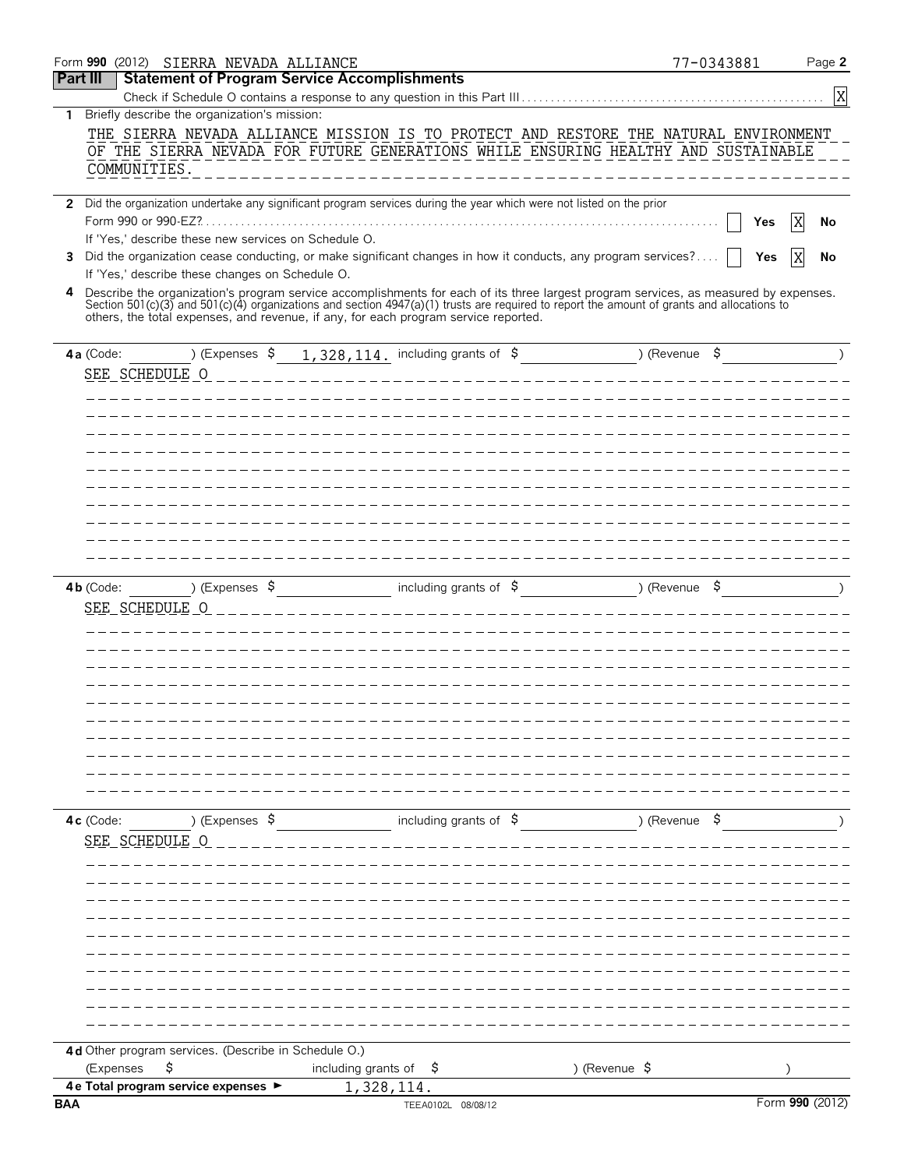| <b>Statement of Program Service Accomplishments</b><br>Part III<br>$\boldsymbol{\mathrm{X}}$<br>Briefly describe the organization's mission:<br>1.<br>THE SIERRA NEVADA ALLIANCE MISSION IS TO PROTECT AND RESTORE THE NATURAL ENVIRONMENT<br>OF THE SIERRA NEVADA FOR FUTURE GENERATIONS WHILE ENSURING HEALTHY AND SUSTAINABLE<br>COMMUNITIES.<br>2 Did the organization undertake any significant program services during the year which were not listed on the prior<br>X<br>Yes<br>No<br>If 'Yes,' describe these new services on Schedule O.<br>Did the organization cease conducting, or make significant changes in how it conducts, any program services?<br>3<br>Yes<br>No<br>If 'Yes,' describe these changes on Schedule O.<br>4 Describe the organization's program service accomplishments for each of its three largest program services, as measured by expenses.<br>Section 501(c)(3) and 501(c)(4) organizations and section 4947(a)(1) trusts are required to report the amount of grants and allocations to<br>others, the total expenses, and revenue, if any, for each program service reported.<br>) (Expenses $\frac{1}{5}$ 1, 328, 114. including grants of $\frac{1}{5}$ (Revenue $\frac{1}{5}$<br>$4a$ (Code:<br>SEE_SCHEDULE_0<br>$\rightarrow$ (Expenses $\frac{1}{2}$ including grants of $\frac{1}{2}$ ) (Revenue $\frac{1}{2}$<br>$\begin{array}{c} \hline \end{array}$<br>$4b$ (Code:<br>SEE SCHEDULE O<br>including grants of $\beta$ (Revenue $\beta$ )<br>) (Expenses $\frac{1}{2}$<br>4c (Code:<br>SEE SCHEDULE O<br>4d Other program services. (Describe in Schedule O.)<br>\$<br>) (Revenue \$<br>(Expenses<br>including grants of<br>-\$<br>4 e Total program service expenses ><br>1,328,114.<br>Form 990 (2012)<br>TEEA0102L 08/08/12 |            | Form 990 (2012) SIERRA NEVADA ALLIANCE |  | 77-0343881 | Page 2 |
|---------------------------------------------------------------------------------------------------------------------------------------------------------------------------------------------------------------------------------------------------------------------------------------------------------------------------------------------------------------------------------------------------------------------------------------------------------------------------------------------------------------------------------------------------------------------------------------------------------------------------------------------------------------------------------------------------------------------------------------------------------------------------------------------------------------------------------------------------------------------------------------------------------------------------------------------------------------------------------------------------------------------------------------------------------------------------------------------------------------------------------------------------------------------------------------------------------------------------------------------------------------------------------------------------------------------------------------------------------------------------------------------------------------------------------------------------------------------------------------------------------------------------------------------------------------------------------------------------------------------------------------------------------------------------------------------------------------------------------------------------------------------------------|------------|----------------------------------------|--|------------|--------|
|                                                                                                                                                                                                                                                                                                                                                                                                                                                                                                                                                                                                                                                                                                                                                                                                                                                                                                                                                                                                                                                                                                                                                                                                                                                                                                                                                                                                                                                                                                                                                                                                                                                                                                                                                                                 |            |                                        |  |            |        |
|                                                                                                                                                                                                                                                                                                                                                                                                                                                                                                                                                                                                                                                                                                                                                                                                                                                                                                                                                                                                                                                                                                                                                                                                                                                                                                                                                                                                                                                                                                                                                                                                                                                                                                                                                                                 |            |                                        |  |            |        |
|                                                                                                                                                                                                                                                                                                                                                                                                                                                                                                                                                                                                                                                                                                                                                                                                                                                                                                                                                                                                                                                                                                                                                                                                                                                                                                                                                                                                                                                                                                                                                                                                                                                                                                                                                                                 |            |                                        |  |            |        |
|                                                                                                                                                                                                                                                                                                                                                                                                                                                                                                                                                                                                                                                                                                                                                                                                                                                                                                                                                                                                                                                                                                                                                                                                                                                                                                                                                                                                                                                                                                                                                                                                                                                                                                                                                                                 |            |                                        |  |            |        |
|                                                                                                                                                                                                                                                                                                                                                                                                                                                                                                                                                                                                                                                                                                                                                                                                                                                                                                                                                                                                                                                                                                                                                                                                                                                                                                                                                                                                                                                                                                                                                                                                                                                                                                                                                                                 |            |                                        |  |            |        |
|                                                                                                                                                                                                                                                                                                                                                                                                                                                                                                                                                                                                                                                                                                                                                                                                                                                                                                                                                                                                                                                                                                                                                                                                                                                                                                                                                                                                                                                                                                                                                                                                                                                                                                                                                                                 |            |                                        |  |            |        |
|                                                                                                                                                                                                                                                                                                                                                                                                                                                                                                                                                                                                                                                                                                                                                                                                                                                                                                                                                                                                                                                                                                                                                                                                                                                                                                                                                                                                                                                                                                                                                                                                                                                                                                                                                                                 |            |                                        |  |            |        |
|                                                                                                                                                                                                                                                                                                                                                                                                                                                                                                                                                                                                                                                                                                                                                                                                                                                                                                                                                                                                                                                                                                                                                                                                                                                                                                                                                                                                                                                                                                                                                                                                                                                                                                                                                                                 |            |                                        |  |            |        |
|                                                                                                                                                                                                                                                                                                                                                                                                                                                                                                                                                                                                                                                                                                                                                                                                                                                                                                                                                                                                                                                                                                                                                                                                                                                                                                                                                                                                                                                                                                                                                                                                                                                                                                                                                                                 |            |                                        |  |            |        |
|                                                                                                                                                                                                                                                                                                                                                                                                                                                                                                                                                                                                                                                                                                                                                                                                                                                                                                                                                                                                                                                                                                                                                                                                                                                                                                                                                                                                                                                                                                                                                                                                                                                                                                                                                                                 |            |                                        |  |            |        |
|                                                                                                                                                                                                                                                                                                                                                                                                                                                                                                                                                                                                                                                                                                                                                                                                                                                                                                                                                                                                                                                                                                                                                                                                                                                                                                                                                                                                                                                                                                                                                                                                                                                                                                                                                                                 |            |                                        |  |            |        |
|                                                                                                                                                                                                                                                                                                                                                                                                                                                                                                                                                                                                                                                                                                                                                                                                                                                                                                                                                                                                                                                                                                                                                                                                                                                                                                                                                                                                                                                                                                                                                                                                                                                                                                                                                                                 |            |                                        |  |            |        |
|                                                                                                                                                                                                                                                                                                                                                                                                                                                                                                                                                                                                                                                                                                                                                                                                                                                                                                                                                                                                                                                                                                                                                                                                                                                                                                                                                                                                                                                                                                                                                                                                                                                                                                                                                                                 |            |                                        |  |            |        |
|                                                                                                                                                                                                                                                                                                                                                                                                                                                                                                                                                                                                                                                                                                                                                                                                                                                                                                                                                                                                                                                                                                                                                                                                                                                                                                                                                                                                                                                                                                                                                                                                                                                                                                                                                                                 |            |                                        |  |            |        |
|                                                                                                                                                                                                                                                                                                                                                                                                                                                                                                                                                                                                                                                                                                                                                                                                                                                                                                                                                                                                                                                                                                                                                                                                                                                                                                                                                                                                                                                                                                                                                                                                                                                                                                                                                                                 |            |                                        |  |            |        |
|                                                                                                                                                                                                                                                                                                                                                                                                                                                                                                                                                                                                                                                                                                                                                                                                                                                                                                                                                                                                                                                                                                                                                                                                                                                                                                                                                                                                                                                                                                                                                                                                                                                                                                                                                                                 |            |                                        |  |            |        |
|                                                                                                                                                                                                                                                                                                                                                                                                                                                                                                                                                                                                                                                                                                                                                                                                                                                                                                                                                                                                                                                                                                                                                                                                                                                                                                                                                                                                                                                                                                                                                                                                                                                                                                                                                                                 |            |                                        |  |            |        |
|                                                                                                                                                                                                                                                                                                                                                                                                                                                                                                                                                                                                                                                                                                                                                                                                                                                                                                                                                                                                                                                                                                                                                                                                                                                                                                                                                                                                                                                                                                                                                                                                                                                                                                                                                                                 |            |                                        |  |            |        |
|                                                                                                                                                                                                                                                                                                                                                                                                                                                                                                                                                                                                                                                                                                                                                                                                                                                                                                                                                                                                                                                                                                                                                                                                                                                                                                                                                                                                                                                                                                                                                                                                                                                                                                                                                                                 |            |                                        |  |            |        |
|                                                                                                                                                                                                                                                                                                                                                                                                                                                                                                                                                                                                                                                                                                                                                                                                                                                                                                                                                                                                                                                                                                                                                                                                                                                                                                                                                                                                                                                                                                                                                                                                                                                                                                                                                                                 |            |                                        |  |            |        |
|                                                                                                                                                                                                                                                                                                                                                                                                                                                                                                                                                                                                                                                                                                                                                                                                                                                                                                                                                                                                                                                                                                                                                                                                                                                                                                                                                                                                                                                                                                                                                                                                                                                                                                                                                                                 |            |                                        |  |            |        |
|                                                                                                                                                                                                                                                                                                                                                                                                                                                                                                                                                                                                                                                                                                                                                                                                                                                                                                                                                                                                                                                                                                                                                                                                                                                                                                                                                                                                                                                                                                                                                                                                                                                                                                                                                                                 |            |                                        |  |            |        |
|                                                                                                                                                                                                                                                                                                                                                                                                                                                                                                                                                                                                                                                                                                                                                                                                                                                                                                                                                                                                                                                                                                                                                                                                                                                                                                                                                                                                                                                                                                                                                                                                                                                                                                                                                                                 |            |                                        |  |            |        |
|                                                                                                                                                                                                                                                                                                                                                                                                                                                                                                                                                                                                                                                                                                                                                                                                                                                                                                                                                                                                                                                                                                                                                                                                                                                                                                                                                                                                                                                                                                                                                                                                                                                                                                                                                                                 |            |                                        |  |            |        |
|                                                                                                                                                                                                                                                                                                                                                                                                                                                                                                                                                                                                                                                                                                                                                                                                                                                                                                                                                                                                                                                                                                                                                                                                                                                                                                                                                                                                                                                                                                                                                                                                                                                                                                                                                                                 |            |                                        |  |            |        |
|                                                                                                                                                                                                                                                                                                                                                                                                                                                                                                                                                                                                                                                                                                                                                                                                                                                                                                                                                                                                                                                                                                                                                                                                                                                                                                                                                                                                                                                                                                                                                                                                                                                                                                                                                                                 |            |                                        |  |            |        |
|                                                                                                                                                                                                                                                                                                                                                                                                                                                                                                                                                                                                                                                                                                                                                                                                                                                                                                                                                                                                                                                                                                                                                                                                                                                                                                                                                                                                                                                                                                                                                                                                                                                                                                                                                                                 |            |                                        |  |            |        |
|                                                                                                                                                                                                                                                                                                                                                                                                                                                                                                                                                                                                                                                                                                                                                                                                                                                                                                                                                                                                                                                                                                                                                                                                                                                                                                                                                                                                                                                                                                                                                                                                                                                                                                                                                                                 |            |                                        |  |            |        |
|                                                                                                                                                                                                                                                                                                                                                                                                                                                                                                                                                                                                                                                                                                                                                                                                                                                                                                                                                                                                                                                                                                                                                                                                                                                                                                                                                                                                                                                                                                                                                                                                                                                                                                                                                                                 |            |                                        |  |            |        |
|                                                                                                                                                                                                                                                                                                                                                                                                                                                                                                                                                                                                                                                                                                                                                                                                                                                                                                                                                                                                                                                                                                                                                                                                                                                                                                                                                                                                                                                                                                                                                                                                                                                                                                                                                                                 |            |                                        |  |            |        |
|                                                                                                                                                                                                                                                                                                                                                                                                                                                                                                                                                                                                                                                                                                                                                                                                                                                                                                                                                                                                                                                                                                                                                                                                                                                                                                                                                                                                                                                                                                                                                                                                                                                                                                                                                                                 |            |                                        |  |            |        |
|                                                                                                                                                                                                                                                                                                                                                                                                                                                                                                                                                                                                                                                                                                                                                                                                                                                                                                                                                                                                                                                                                                                                                                                                                                                                                                                                                                                                                                                                                                                                                                                                                                                                                                                                                                                 |            |                                        |  |            |        |
|                                                                                                                                                                                                                                                                                                                                                                                                                                                                                                                                                                                                                                                                                                                                                                                                                                                                                                                                                                                                                                                                                                                                                                                                                                                                                                                                                                                                                                                                                                                                                                                                                                                                                                                                                                                 |            |                                        |  |            |        |
|                                                                                                                                                                                                                                                                                                                                                                                                                                                                                                                                                                                                                                                                                                                                                                                                                                                                                                                                                                                                                                                                                                                                                                                                                                                                                                                                                                                                                                                                                                                                                                                                                                                                                                                                                                                 |            |                                        |  |            |        |
|                                                                                                                                                                                                                                                                                                                                                                                                                                                                                                                                                                                                                                                                                                                                                                                                                                                                                                                                                                                                                                                                                                                                                                                                                                                                                                                                                                                                                                                                                                                                                                                                                                                                                                                                                                                 |            |                                        |  |            |        |
|                                                                                                                                                                                                                                                                                                                                                                                                                                                                                                                                                                                                                                                                                                                                                                                                                                                                                                                                                                                                                                                                                                                                                                                                                                                                                                                                                                                                                                                                                                                                                                                                                                                                                                                                                                                 |            |                                        |  |            |        |
|                                                                                                                                                                                                                                                                                                                                                                                                                                                                                                                                                                                                                                                                                                                                                                                                                                                                                                                                                                                                                                                                                                                                                                                                                                                                                                                                                                                                                                                                                                                                                                                                                                                                                                                                                                                 |            |                                        |  |            |        |
|                                                                                                                                                                                                                                                                                                                                                                                                                                                                                                                                                                                                                                                                                                                                                                                                                                                                                                                                                                                                                                                                                                                                                                                                                                                                                                                                                                                                                                                                                                                                                                                                                                                                                                                                                                                 |            |                                        |  |            |        |
|                                                                                                                                                                                                                                                                                                                                                                                                                                                                                                                                                                                                                                                                                                                                                                                                                                                                                                                                                                                                                                                                                                                                                                                                                                                                                                                                                                                                                                                                                                                                                                                                                                                                                                                                                                                 |            |                                        |  |            |        |
|                                                                                                                                                                                                                                                                                                                                                                                                                                                                                                                                                                                                                                                                                                                                                                                                                                                                                                                                                                                                                                                                                                                                                                                                                                                                                                                                                                                                                                                                                                                                                                                                                                                                                                                                                                                 |            |                                        |  |            |        |
|                                                                                                                                                                                                                                                                                                                                                                                                                                                                                                                                                                                                                                                                                                                                                                                                                                                                                                                                                                                                                                                                                                                                                                                                                                                                                                                                                                                                                                                                                                                                                                                                                                                                                                                                                                                 |            |                                        |  |            |        |
|                                                                                                                                                                                                                                                                                                                                                                                                                                                                                                                                                                                                                                                                                                                                                                                                                                                                                                                                                                                                                                                                                                                                                                                                                                                                                                                                                                                                                                                                                                                                                                                                                                                                                                                                                                                 |            |                                        |  |            |        |
|                                                                                                                                                                                                                                                                                                                                                                                                                                                                                                                                                                                                                                                                                                                                                                                                                                                                                                                                                                                                                                                                                                                                                                                                                                                                                                                                                                                                                                                                                                                                                                                                                                                                                                                                                                                 |            |                                        |  |            |        |
|                                                                                                                                                                                                                                                                                                                                                                                                                                                                                                                                                                                                                                                                                                                                                                                                                                                                                                                                                                                                                                                                                                                                                                                                                                                                                                                                                                                                                                                                                                                                                                                                                                                                                                                                                                                 |            |                                        |  |            |        |
|                                                                                                                                                                                                                                                                                                                                                                                                                                                                                                                                                                                                                                                                                                                                                                                                                                                                                                                                                                                                                                                                                                                                                                                                                                                                                                                                                                                                                                                                                                                                                                                                                                                                                                                                                                                 |            |                                        |  |            |        |
|                                                                                                                                                                                                                                                                                                                                                                                                                                                                                                                                                                                                                                                                                                                                                                                                                                                                                                                                                                                                                                                                                                                                                                                                                                                                                                                                                                                                                                                                                                                                                                                                                                                                                                                                                                                 |            |                                        |  |            |        |
|                                                                                                                                                                                                                                                                                                                                                                                                                                                                                                                                                                                                                                                                                                                                                                                                                                                                                                                                                                                                                                                                                                                                                                                                                                                                                                                                                                                                                                                                                                                                                                                                                                                                                                                                                                                 |            |                                        |  |            |        |
|                                                                                                                                                                                                                                                                                                                                                                                                                                                                                                                                                                                                                                                                                                                                                                                                                                                                                                                                                                                                                                                                                                                                                                                                                                                                                                                                                                                                                                                                                                                                                                                                                                                                                                                                                                                 |            |                                        |  |            |        |
|                                                                                                                                                                                                                                                                                                                                                                                                                                                                                                                                                                                                                                                                                                                                                                                                                                                                                                                                                                                                                                                                                                                                                                                                                                                                                                                                                                                                                                                                                                                                                                                                                                                                                                                                                                                 |            |                                        |  |            |        |
|                                                                                                                                                                                                                                                                                                                                                                                                                                                                                                                                                                                                                                                                                                                                                                                                                                                                                                                                                                                                                                                                                                                                                                                                                                                                                                                                                                                                                                                                                                                                                                                                                                                                                                                                                                                 |            |                                        |  |            |        |
|                                                                                                                                                                                                                                                                                                                                                                                                                                                                                                                                                                                                                                                                                                                                                                                                                                                                                                                                                                                                                                                                                                                                                                                                                                                                                                                                                                                                                                                                                                                                                                                                                                                                                                                                                                                 |            |                                        |  |            |        |
|                                                                                                                                                                                                                                                                                                                                                                                                                                                                                                                                                                                                                                                                                                                                                                                                                                                                                                                                                                                                                                                                                                                                                                                                                                                                                                                                                                                                                                                                                                                                                                                                                                                                                                                                                                                 |            |                                        |  |            |        |
|                                                                                                                                                                                                                                                                                                                                                                                                                                                                                                                                                                                                                                                                                                                                                                                                                                                                                                                                                                                                                                                                                                                                                                                                                                                                                                                                                                                                                                                                                                                                                                                                                                                                                                                                                                                 |            |                                        |  |            |        |
|                                                                                                                                                                                                                                                                                                                                                                                                                                                                                                                                                                                                                                                                                                                                                                                                                                                                                                                                                                                                                                                                                                                                                                                                                                                                                                                                                                                                                                                                                                                                                                                                                                                                                                                                                                                 |            |                                        |  |            |        |
|                                                                                                                                                                                                                                                                                                                                                                                                                                                                                                                                                                                                                                                                                                                                                                                                                                                                                                                                                                                                                                                                                                                                                                                                                                                                                                                                                                                                                                                                                                                                                                                                                                                                                                                                                                                 |            |                                        |  |            |        |
|                                                                                                                                                                                                                                                                                                                                                                                                                                                                                                                                                                                                                                                                                                                                                                                                                                                                                                                                                                                                                                                                                                                                                                                                                                                                                                                                                                                                                                                                                                                                                                                                                                                                                                                                                                                 |            |                                        |  |            |        |
|                                                                                                                                                                                                                                                                                                                                                                                                                                                                                                                                                                                                                                                                                                                                                                                                                                                                                                                                                                                                                                                                                                                                                                                                                                                                                                                                                                                                                                                                                                                                                                                                                                                                                                                                                                                 | <b>BAA</b> |                                        |  |            |        |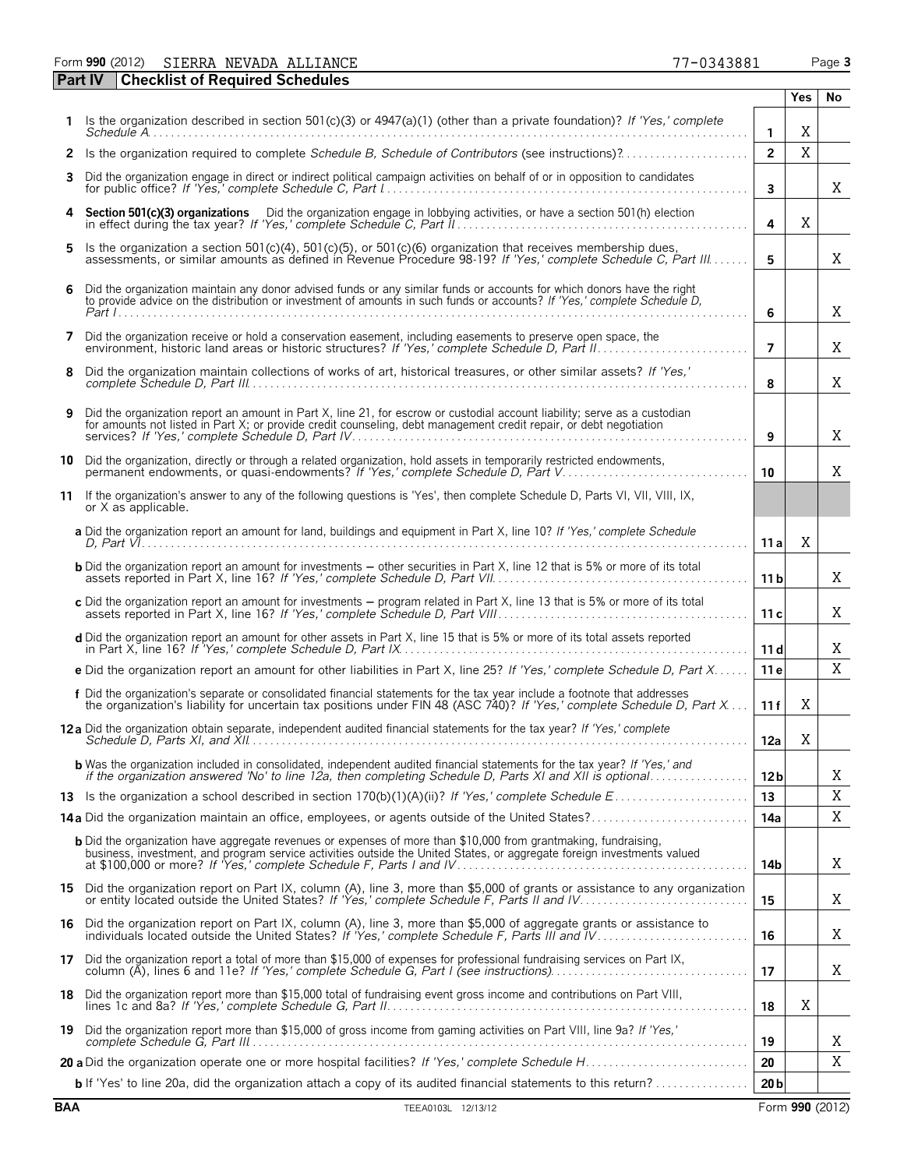Form **990** (2012) Page **3** SIERRA NEVADA ALLIANCE 77-0343881

|    | <b>Checklist of Required Schedules</b><br><b>Part IV</b>                                                                                                                                                                                        |                 |            |    |
|----|-------------------------------------------------------------------------------------------------------------------------------------------------------------------------------------------------------------------------------------------------|-----------------|------------|----|
|    |                                                                                                                                                                                                                                                 |                 | <b>Yes</b> | No |
|    | Is the organization described in section $501(c)(3)$ or $4947(a)(1)$ (other than a private foundation)? If 'Yes,' complete                                                                                                                      | $\mathbf{1}$    | Χ          |    |
| 2  | Is the organization required to complete Schedule B, Schedule of Contributors (see instructions)?                                                                                                                                               | $\overline{2}$  | $\rm X$    |    |
| 3  | Did the organization engage in direct or indirect political campaign activities on behalf of or in opposition to candidates                                                                                                                     | 3               |            | X  |
| 4  | Section 501(c)(3) organizations Did the organization engage in lobbying activities, or have a section 501(h) election                                                                                                                           | 4               | X          |    |
| 5  | Is the organization a section 501(c)(4), 501(c)(5), or 501(c)(6) organization that receives membership dues,<br>assessments, or similar amounts as defined in Revenue Procedure 98-19? If 'Yes,' complete Schedule C, Part III                  | 5               |            | X  |
| 6  | Did the organization maintain any donor advised funds or any similar funds or accounts for which donors have the right to provide advice on the distribution or investment of amounts in such funds or accounts? If 'Yes,' com                  | 6               |            | X  |
| 7  | Did the organization receive or hold a conservation easement, including easements to preserve open space, the                                                                                                                                   | $\overline{7}$  |            | X  |
| 8  | Did the organization maintain collections of works of art, historical treasures, or other similar assets? If 'Yes,'                                                                                                                             | 8               |            | Χ  |
| 9  | Did the organization report an amount in Part X, line 21, for escrow or custodial account liability; serve as a custodian<br>for amounts not listed in Part X; or provide credit counseling, debt management credit repair, or debt negotiation | 9               |            | X  |
| 10 | Did the organization, directly or through a related organization, hold assets in temporarily restricted endowments,<br>permanent endowments, or quasi-endowments? If 'Yes,' complete Schedule D, Part V                                         | 10              |            | X  |
| 11 | If the organization's answer to any of the following questions is 'Yes', then complete Schedule D, Parts VI, VII, VIII, IX,<br>or X as applicable.                                                                                              |                 |            |    |
|    | a Did the organization report an amount for land, buildings and equipment in Part X, line 10? If 'Yes,' complete Schedule                                                                                                                       | 11 al           | X          |    |
|    | <b>b</b> Did the organization report an amount for investments - other securities in Part X, line 12 that is 5% or more of its total                                                                                                            | 11 <sub>b</sub> |            | X  |
|    | c Did the organization report an amount for investments - program related in Part X, line 13 that is 5% or more of its total                                                                                                                    | 11c             |            | X  |
|    | d Did the organization report an amount for other assets in Part X, line 15 that is 5% or more of its total assets reported                                                                                                                     | 11d             |            | X  |
|    | e Did the organization report an amount for other liabilities in Part X, line 25? If 'Yes,' complete Schedule D, Part X                                                                                                                         | 11 e            |            | Χ  |
|    | f Did the organization's separate or consolidated financial statements for the tax year include a footnote that addresses<br>the organization's liability for uncertain tax positions under FIN 48 (ASC 740)? If 'Yes,' complete                | 11f             | Χ          |    |
|    | <b>12a</b> Did the organization obtain separate, independent audited financial statements for the tax year? If 'Yes,' complete                                                                                                                  | 12a             | Χ          |    |
|    | <b>b</b> Was the organization included in consolidated, independent audited financial statements for the tax year? If 'Yes,' and<br>if the organization answered 'No' to line 12a, then completing Schedule D, Parts XI and XII is optional     | 12 <sub>b</sub> |            | Χ  |
|    |                                                                                                                                                                                                                                                 | 13              |            | Χ  |
|    | 14a Did the organization maintain an office, employees, or agents outside of the United States?                                                                                                                                                 | 14a             |            | Χ  |
|    | <b>b</b> Did the organization have aggregate revenues or expenses of more than \$10,000 from grantmaking, fundraising,                                                                                                                          | 14b             |            | X  |
|    | 15 Did the organization report on Part IX, column (A), line 3, more than \$5,000 of grants or assistance to any organization                                                                                                                    | 15              |            | X  |
|    | 16 Did the organization report on Part IX, column (A), line 3, more than \$5,000 of aggregate grants or assistance to individuals located outside the United States? If 'Yes,' complete Schedule F, Parts III and IV                            | 16              |            | X  |
|    | 17 Did the organization report a total of more than \$15,000 of expenses for professional fundraising services on Part IX,                                                                                                                      | 17              |            | X  |
|    | 18 Did the organization report more than \$15,000 total of fundraising event gross income and contributions on Part VIII,                                                                                                                       | 18              | X          |    |
| 19 | Did the organization report more than \$15,000 of gross income from gaming activities on Part VIII, line 9a? If 'Yes,'                                                                                                                          | 19              |            | Χ  |
|    |                                                                                                                                                                                                                                                 | 20              |            | Χ  |
|    | <b>b</b> If 'Yes' to line 20a, did the organization attach a copy of its audited financial statements to this return?                                                                                                                           | 20 <sub>b</sub> |            |    |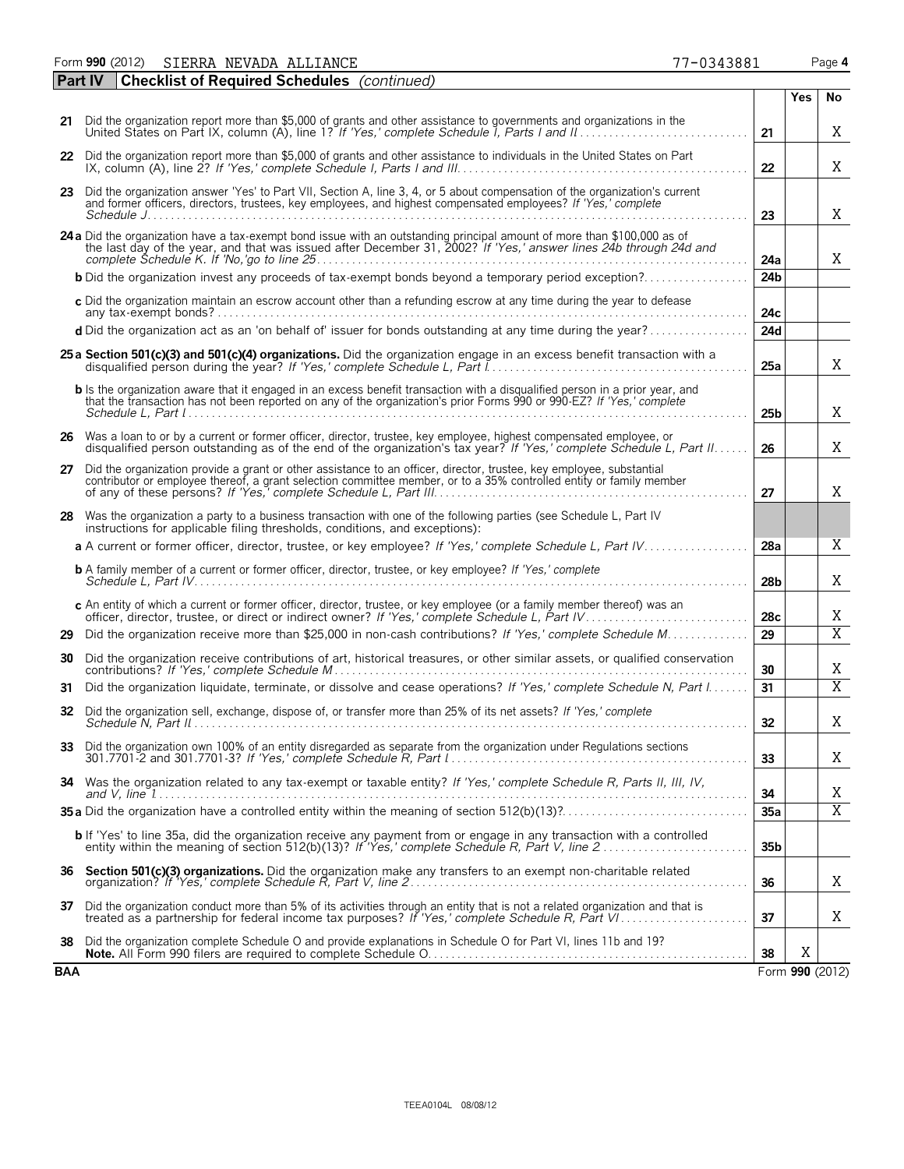| Form 990 (2012)<br>7-0343881<br>. NEVADA ALLIANCE<br>SIERRA | Page 4 |
|-------------------------------------------------------------|--------|
|-------------------------------------------------------------|--------|

| <b>Part IV</b> | <b>Checklist of Required Schedules</b> (continued)                                                                                                                                                                                                                               |                 |                 |                |
|----------------|----------------------------------------------------------------------------------------------------------------------------------------------------------------------------------------------------------------------------------------------------------------------------------|-----------------|-----------------|----------------|
|                |                                                                                                                                                                                                                                                                                  |                 | <b>Yes</b>      | No             |
| 21             | Did the organization report more than \$5,000 of grants and other assistance to governments and organizations in the                                                                                                                                                             | 21              |                 | X.             |
|                | 22 Did the organization report more than \$5,000 of grants and other assistance to individuals in the United States on Part                                                                                                                                                      | 22              |                 | X              |
|                | 23 Did the organization answer 'Yes' to Part VII, Section A, line 3, 4, or 5 about compensation of the organization's current<br>and former officers, directors, trustees, key employees, and highest compensated employees? If 'Yes,' complete                                  | 23              |                 | X              |
|                | 24 a Did the organization have a tax-exempt bond issue with an outstanding principal amount of more than \$100,000 as of the last day of the year, and that was issued after December 31, 2002? If 'Yes,' answer lines 24b thro                                                  | 24a             |                 | X              |
|                | <b>b</b> Did the organization invest any proceeds of tax-exempt bonds beyond a temporary period exception?                                                                                                                                                                       | 24 <sub>b</sub> |                 |                |
|                | c Did the organization maintain an escrow account other than a refunding escrow at any time during the year to defease                                                                                                                                                           | 24c             |                 |                |
|                | d Did the organization act as an 'on behalf of' issuer for bonds outstanding at any time during the year?                                                                                                                                                                        | 24d             |                 |                |
|                | 25 a Section 501(c)(3) and 501(c)(4) organizations. Did the organization engage in an excess benefit transaction with a                                                                                                                                                          | 25a             |                 | X              |
|                | b Is the organization aware that it engaged in an excess benefit transaction with a disqualified person in a prior year, and<br>that the transaction has not been reported on any of the organization's prior Forms 990 or 990-EZ? If 'Yes,' complete                            | 25 <sub>b</sub> |                 | X              |
|                | 26 Was a loan to or by a current or former officer, director, trustee, key employee, highest compensated employee, or<br>disqualified person outstanding as of the end of the organization's tax year? If 'Yes,' complete Schedule L, Part II                                    | 26              |                 | X              |
| 27             | Did the organization provide a grant or other assistance to an officer, director, trustee, key employee, substantial<br>contributor or employee thereof, a grant selection committee member, or to a 35% controlled entity or family member                                      | 27              |                 | X              |
|                | 28 Was the organization a party to a business transaction with one of the following parties (see Schedule L, Part IV<br>instructions for applicable filing thresholds, conditions, and exceptions):                                                                              |                 |                 |                |
|                | a A current or former officer, director, trustee, or key employee? If 'Yes,' complete Schedule L, Part IV                                                                                                                                                                        | 28a             |                 | X              |
|                | <b>b</b> A family member of a current or former officer, director, trustee, or key employee? If 'Yes,' complete                                                                                                                                                                  | 28 <sub>b</sub> |                 | X              |
|                | c An entity of which a current or former officer, director, trustee, or key employee (or a family member thereof) was an<br>officer, director, trustee, or direct or indirect owner? If 'Yes,' complete Schedule L, Part IV.                                                     | 28c             |                 | Χ              |
| 29             | Did the organization receive more than \$25,000 in non-cash contributions? If 'Yes,' complete Schedule M                                                                                                                                                                         | 29              |                 | $\overline{X}$ |
| 30             | Did the organization receive contributions of art, historical treasures, or other similar assets, or qualified conservation                                                                                                                                                      | 30              |                 | X              |
| 31             | Did the organization liquidate, terminate, or dissolve and cease operations? If 'Yes,' complete Schedule N, Part I                                                                                                                                                               | 31              |                 | $\overline{X}$ |
| 32             | Did the organization sell, exchange, dispose of, or transfer more than 25% of its net assets? If 'Yes,' complete                                                                                                                                                                 | 32              |                 | Χ              |
| 33             | Did the organization own 100% of an entity disregarded as separate from the organization under Regulations sections<br>301.7701-2 and 301.7701-3? If 'Yes,' complete Schedule R. Part $\lbrack  \rbrack, \lbrack  \rbrack, \lbrack  \rbrack, \lbrack  \rbrack, \lbrack  \rbrack$ | 33              |                 | X              |
| 34             | Was the organization related to any tax-exempt or taxable entity? If 'Yes,' complete Schedule R, Parts II, III, IV,                                                                                                                                                              | 34              |                 | Χ              |
|                |                                                                                                                                                                                                                                                                                  | 35a             |                 | $\overline{X}$ |
|                | <b>b</b> If 'Yes' to line 35a, did the organization receive any payment from or engage in any transaction with a controlled                                                                                                                                                      | 35 <sub>b</sub> |                 |                |
| 36             | Section 501(c)(3) organizations. Did the organization make any transfers to an exempt non-charitable related                                                                                                                                                                     | 36              |                 | X              |
| 37             | Did the organization conduct more than 5% of its activities through an entity that is not a related organization and that is                                                                                                                                                     | 37              |                 | X              |
| 38             | Did the organization complete Schedule O and provide explanations in Schedule O for Part VI, lines 11b and 19?                                                                                                                                                                   | 38              | Χ               |                |
| BAA            |                                                                                                                                                                                                                                                                                  |                 | Form 990 (2012) |                |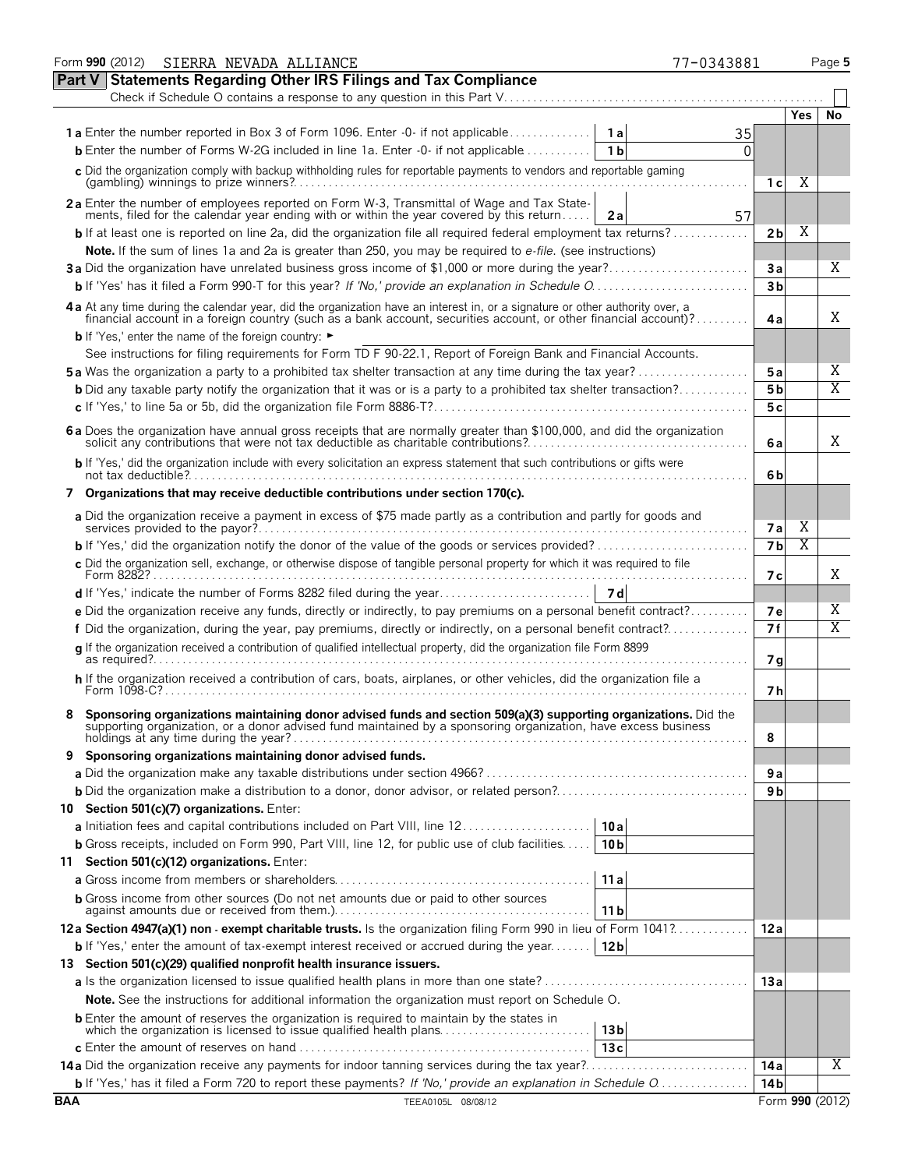|            | Form 990 (2012) SIERRA NEVADA ALLIANCE                                                                                                                                                                                         | 77-0343881 |                |            | Page 5                       |
|------------|--------------------------------------------------------------------------------------------------------------------------------------------------------------------------------------------------------------------------------|------------|----------------|------------|------------------------------|
|            | <b>Part V Statements Regarding Other IRS Filings and Tax Compliance</b>                                                                                                                                                        |            |                |            |                              |
|            | Check if Schedule O contains a response to any question in this Part V                                                                                                                                                         |            |                |            |                              |
|            |                                                                                                                                                                                                                                |            |                | <b>Yes</b> | <b>No</b>                    |
|            | 1a Enter the number reported in Box 3 of Form 1096. Enter -0- if not applicable<br>1 a                                                                                                                                         | 35         |                |            |                              |
|            | <b>b</b> Enter the number of Forms W-2G included in line 1a. Enter -0- if not applicable<br>1 <sub>b</sub>                                                                                                                     | 0          |                |            |                              |
|            | c Did the organization comply with backup withholding rules for reportable payments to vendors and reportable gaming                                                                                                           |            | 1 с            | Χ          |                              |
|            | 2a Enter the number of employees reported on Form W-3, Transmittal of Wage and Tax State-                                                                                                                                      |            |                |            |                              |
|            | ments, filed for the calendar year ending with or within the year covered by this return<br>2a<br><b>b</b> If at least one is reported on line 2a, did the organization file all required federal employment tax returns?      | 57         | 2 <sub>b</sub> | X          |                              |
|            | Note. If the sum of lines 1a and 2a is greater than 250, you may be required to e-file. (see instructions)                                                                                                                     |            |                |            |                              |
|            | 3a Did the organization have unrelated business gross income of \$1,000 or more during the year?                                                                                                                               |            | Зa             |            | Χ                            |
|            |                                                                                                                                                                                                                                |            | 3 <sub>b</sub> |            |                              |
|            |                                                                                                                                                                                                                                |            |                |            |                              |
|            | 4 a At any time during the calendar year, did the organization have an interest in, or a signature or other authority over, a financial account in a foreign country (such as a bank account, securities account, or other fin |            | 4a             |            | X                            |
|            | <b>b</b> If 'Yes,' enter the name of the foreign country: ►                                                                                                                                                                    |            |                |            |                              |
|            | See instructions for filing requirements for Form TD F 90-22.1, Report of Foreign Bank and Financial Accounts.                                                                                                                 |            |                |            |                              |
|            | <b>5a</b> Was the organization a party to a prohibited tax shelter transaction at any time during the tax year?                                                                                                                |            | 5a             |            | Χ<br>$\overline{\mathrm{X}}$ |
|            | <b>b</b> Did any taxable party notify the organization that it was or is a party to a prohibited tax shelter transaction?                                                                                                      |            | 5 <sub>b</sub> |            |                              |
|            |                                                                                                                                                                                                                                |            | 5c             |            |                              |
|            | 6 a Does the organization have annual gross receipts that are normally greater than \$100,000, and did the organization solicit any contributions that were not tax deductible as charitable contributions?                    |            | 6a             |            | X                            |
|            | b If 'Yes,' did the organization include with every solicitation an express statement that such contributions or gifts were                                                                                                    |            | 6b             |            |                              |
|            | 7 Organizations that may receive deductible contributions under section 170(c).                                                                                                                                                |            |                |            |                              |
|            | a Did the organization receive a payment in excess of \$75 made partly as a contribution and partly for goods and                                                                                                              |            | <b>7a</b>      | Χ          |                              |
|            |                                                                                                                                                                                                                                |            | 7 <sub>b</sub> | Χ          |                              |
|            | c Did the organization sell, exchange, or otherwise dispose of tangible personal property for which it was required to file                                                                                                    |            | 7 с            |            | Χ                            |
|            |                                                                                                                                                                                                                                |            |                |            |                              |
|            | e Did the organization receive any funds, directly or indirectly, to pay premiums on a personal benefit contract?                                                                                                              |            | <b>7e</b>      |            | Χ                            |
|            | f Did the organization, during the year, pay premiums, directly or indirectly, on a personal benefit contract?                                                                                                                 |            | 7f             |            | $\overline{\mathrm{X}}$      |
|            | g If the organization received a contribution of qualified intellectual property, did the organization file Form 8899                                                                                                          |            | 7g             |            |                              |
|            | h If the organization received a contribution of cars, boats, airplanes, or other vehicles, did the organization file a<br>Form $1098-C?$                                                                                      |            | 7h             |            |                              |
|            | Sponsoring organizations maintaining donor advised funds and section 509(a)(3) supporting organizations. Did the supporting organization, or a donor advised fund maintained by a sponsoring organization, have excess busines |            | 8              |            |                              |
| 9          | Sponsoring organizations maintaining donor advised funds.                                                                                                                                                                      |            |                |            |                              |
|            |                                                                                                                                                                                                                                |            | 9а             |            |                              |
|            |                                                                                                                                                                                                                                |            | 9 b            |            |                              |
|            | 10 Section 501(c)(7) organizations. Enter:                                                                                                                                                                                     |            |                |            |                              |
|            | 10a                                                                                                                                                                                                                            |            |                |            |                              |
|            | <b>b</b> Gross receipts, included on Form 990, Part VIII, line 12, for public use of club facilities<br>10 <sub>b</sub>                                                                                                        |            |                |            |                              |
|            | 11 Section 501(c)(12) organizations. Enter:                                                                                                                                                                                    |            |                |            |                              |
|            | 11a                                                                                                                                                                                                                            |            |                |            |                              |
|            | <b>b</b> Gross income from other sources (Do not net amounts due or paid to other sources<br>11 <sub>b</sub>                                                                                                                   |            |                |            |                              |
|            | 12a Section 4947(a)(1) non - exempt charitable trusts. Is the organization filing Form 990 in lieu of Form 1041?                                                                                                               |            | 12a            |            |                              |
|            | <b>b</b> If 'Yes,' enter the amount of tax-exempt interest received or accrued during the year<br>12 <sub>b</sub>                                                                                                              |            |                |            |                              |
|            | 13 Section 501(c)(29) qualified nonprofit health insurance issuers.                                                                                                                                                            |            |                |            |                              |
|            |                                                                                                                                                                                                                                |            | 13a            |            |                              |
|            | <b>Note.</b> See the instructions for additional information the organization must report on Schedule O.                                                                                                                       |            |                |            |                              |
|            | <b>b</b> Enter the amount of reserves the organization is required to maintain by the states in                                                                                                                                |            |                |            |                              |
|            | which the organization is licensed to issue qualified health plans<br>13 <sub>b</sub>                                                                                                                                          |            |                |            |                              |
|            | 13c                                                                                                                                                                                                                            |            |                |            |                              |
|            |                                                                                                                                                                                                                                |            | 14 a           |            | X                            |
|            |                                                                                                                                                                                                                                |            | 14 b           |            |                              |
| <b>BAA</b> | TEEA0105L 08/08/12                                                                                                                                                                                                             |            |                |            | Form 990 (2012)              |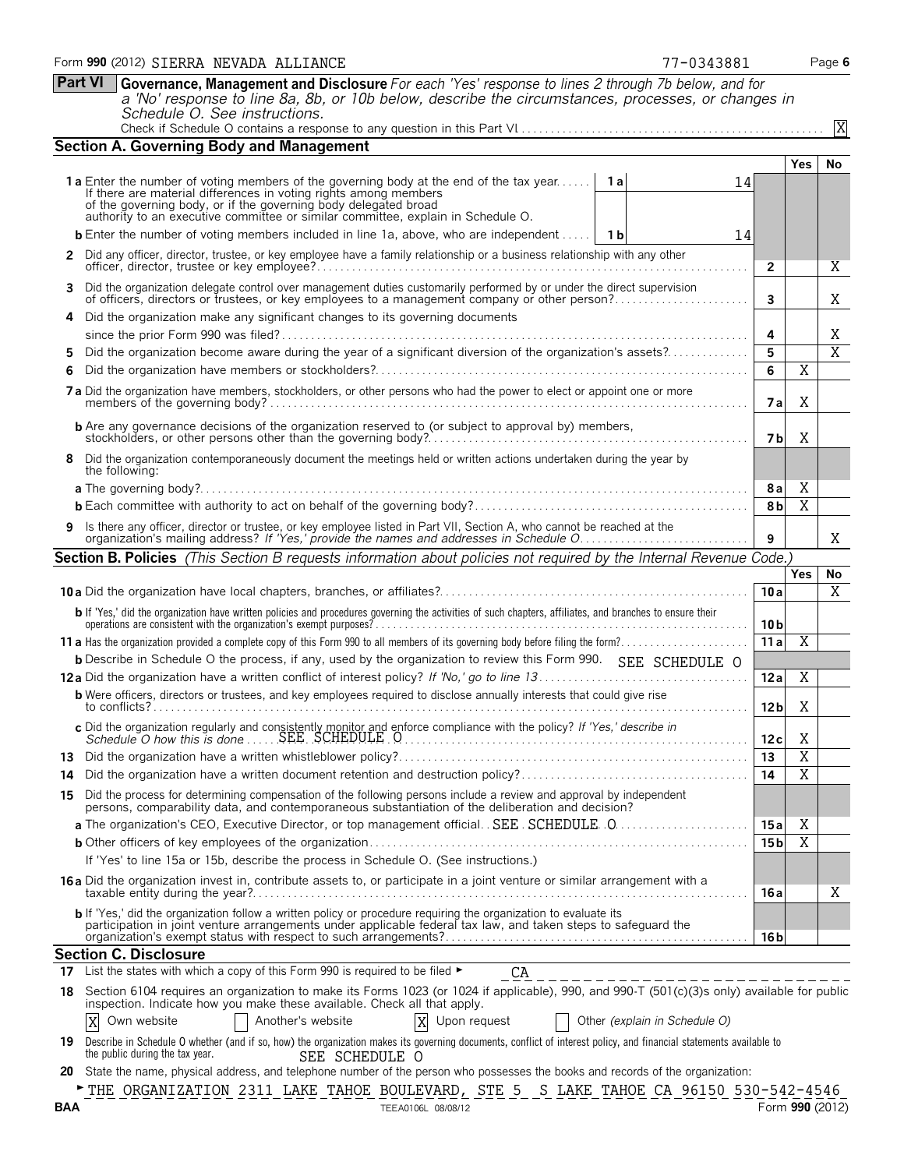|     | Schedule O. See instructions.                                                                                                                                                                                                                                                                                                         |                 |                         | X               |
|-----|---------------------------------------------------------------------------------------------------------------------------------------------------------------------------------------------------------------------------------------------------------------------------------------------------------------------------------------|-----------------|-------------------------|-----------------|
|     | <b>Section A. Governing Body and Management</b>                                                                                                                                                                                                                                                                                       |                 |                         |                 |
|     |                                                                                                                                                                                                                                                                                                                                       |                 | Yes                     | No              |
|     | <b>1a</b> Enter the number of voting members of the governing body at the end of the tax year<br>1al<br>14<br>If there are material differences in voting rights among members<br>of the governing body, or if the governing body delegated broad<br>authority to an executive committee or similar committee, explain in Schedule O. |                 |                         |                 |
|     | <b>b</b> Enter the number of voting members included in line 1a, above, who are independent    1b<br>14                                                                                                                                                                                                                               |                 |                         |                 |
| 2   | Did any officer, director, trustee, or key employee have a family relationship or a business relationship with any other                                                                                                                                                                                                              | $\overline{2}$  |                         | Χ               |
| 3   | Did the organization delegate control over management duties customarily performed by or under the direct supervision                                                                                                                                                                                                                 |                 |                         |                 |
|     | of officers, directors or trustees, or key employees to a management company or other person?<br>Did the organization make any significant changes to its governing documents                                                                                                                                                         | 3               |                         | Χ               |
|     |                                                                                                                                                                                                                                                                                                                                       | 4               |                         | Χ               |
| 5   | Did the organization become aware during the year of a significant diversion of the organization's assets?                                                                                                                                                                                                                            | 5               |                         | $\overline{X}$  |
| 6   |                                                                                                                                                                                                                                                                                                                                       | 6               | X                       |                 |
|     | 7 a Did the organization have members, stockholders, or other persons who had the power to elect or appoint one or more                                                                                                                                                                                                               | <b>7a</b>       | Χ                       |                 |
|     | <b>b</b> Are any governance decisions of the organization reserved to (or subject to approval by) members,                                                                                                                                                                                                                            | 7bl             | Χ                       |                 |
| 8   | Did the organization contemporaneously document the meetings held or written actions undertaken during the year by<br>the following:                                                                                                                                                                                                  |                 |                         |                 |
|     |                                                                                                                                                                                                                                                                                                                                       | <b>8a</b>       | X                       |                 |
|     |                                                                                                                                                                                                                                                                                                                                       | 8b              | $\overline{\mathbf{X}}$ |                 |
| 9   | Is there any officer, director or trustee, or key employee listed in Part VII, Section A, who cannot be reached at the<br>organization's mailing address? If 'Yes,' provide the names and addresses in Schedule O.                                                                                                                    | 9               |                         | Χ               |
|     | Section B. Policies (This Section B requests information about policies not required by the Internal Revenue Code.)                                                                                                                                                                                                                   |                 |                         |                 |
|     |                                                                                                                                                                                                                                                                                                                                       |                 | Yes                     | No              |
|     |                                                                                                                                                                                                                                                                                                                                       | 10a             |                         | X               |
|     | <b>b</b> If 'Yes,' did the organization have written policies and procedures governing the activities of such chapters, affiliates, and branches to ensure their operations are consistent with the organization's exempt purposes?                                                                                                   | 10 <sub>b</sub> |                         |                 |
|     |                                                                                                                                                                                                                                                                                                                                       | 11a             | Χ                       |                 |
|     | <b>b</b> Describe in Schedule O the process, if any, used by the organization to review this Form 990. SEE SCHEDULE O                                                                                                                                                                                                                 |                 |                         |                 |
|     |                                                                                                                                                                                                                                                                                                                                       | 12a             | Χ                       |                 |
|     | <b>b</b> Were officers, directors or trustees, and key employees required to disclose annually interests that could give rise                                                                                                                                                                                                         | 12 <sub>b</sub> | Χ                       |                 |
|     |                                                                                                                                                                                                                                                                                                                                       | 12c             | X                       |                 |
|     |                                                                                                                                                                                                                                                                                                                                       | 13              | $\overline{X}$          |                 |
| 14  |                                                                                                                                                                                                                                                                                                                                       | 14              | $\overline{\text{X}}$   |                 |
|     | 15 Did the process for determining compensation of the following persons include a review and approval by independent<br>persons, comparability data, and contemporaneous substantiation of the deliberation and decision?                                                                                                            |                 |                         |                 |
|     |                                                                                                                                                                                                                                                                                                                                       | 15 a            | X                       |                 |
|     |                                                                                                                                                                                                                                                                                                                                       | 15 b            | $\overline{\mathrm{X}}$ |                 |
|     | If 'Yes' to line 15a or 15b, describe the process in Schedule O. (See instructions.)                                                                                                                                                                                                                                                  |                 |                         |                 |
|     | 16 a Did the organization invest in, contribute assets to, or participate in a joint venture or similar arrangement with a                                                                                                                                                                                                            | 16 a            |                         | Χ               |
|     | b If 'Yes,' did the organization follow a written policy or procedure requiring the organization to evaluate its<br>participation in joint venture arrangements under applicable federal tax law, and taken steps to safeguard the                                                                                                    | 16 b            |                         |                 |
|     | <b>Section C. Disclosure</b>                                                                                                                                                                                                                                                                                                          |                 |                         |                 |
|     | 17 List the states with which a copy of this Form 990 is required to be filed $\blacktriangleright$<br>CA<br>_______________________                                                                                                                                                                                                  |                 |                         |                 |
|     | 18 Section 6104 requires an organization to make its Forms 1023 (or 1024 if applicable), 990, and 990-T (501(c)(3)s only) available for public<br>inspection. Indicate how you make these available. Check all that apply.                                                                                                            |                 |                         |                 |
|     | X<br>Another's website<br>X<br>Upon request<br>Other (explain in Schedule O)<br>Own website                                                                                                                                                                                                                                           |                 |                         |                 |
| 19  | Describe in Schedule O whether (and if so, how) the organization makes its governing documents, conflict of interest policy, and financial statements available to<br>the public during the tax year.<br>SEE SCHEDULE O                                                                                                               |                 |                         |                 |
|     | 20 State the name, physical address, and telephone number of the person who possesses the books and records of the organization:                                                                                                                                                                                                      |                 |                         |                 |
| BAA | THE ORGANIZATION 2311 LAKE TAHOE BOULEVARD, STE 5 S LAKE TAHOE CA 96150 530-542-4546<br>TEEA0106L 08/08/12                                                                                                                                                                                                                            |                 |                         | Form 990 (2012) |
|     |                                                                                                                                                                                                                                                                                                                                       |                 |                         |                 |

**Part VI Governance, Management and Disclosure** *For each 'Yes' response to lines 2 through 7b below, and for* 

*a 'No' response to line 8a, 8b, or 10b below, describe the circumstances, processes, or changes in*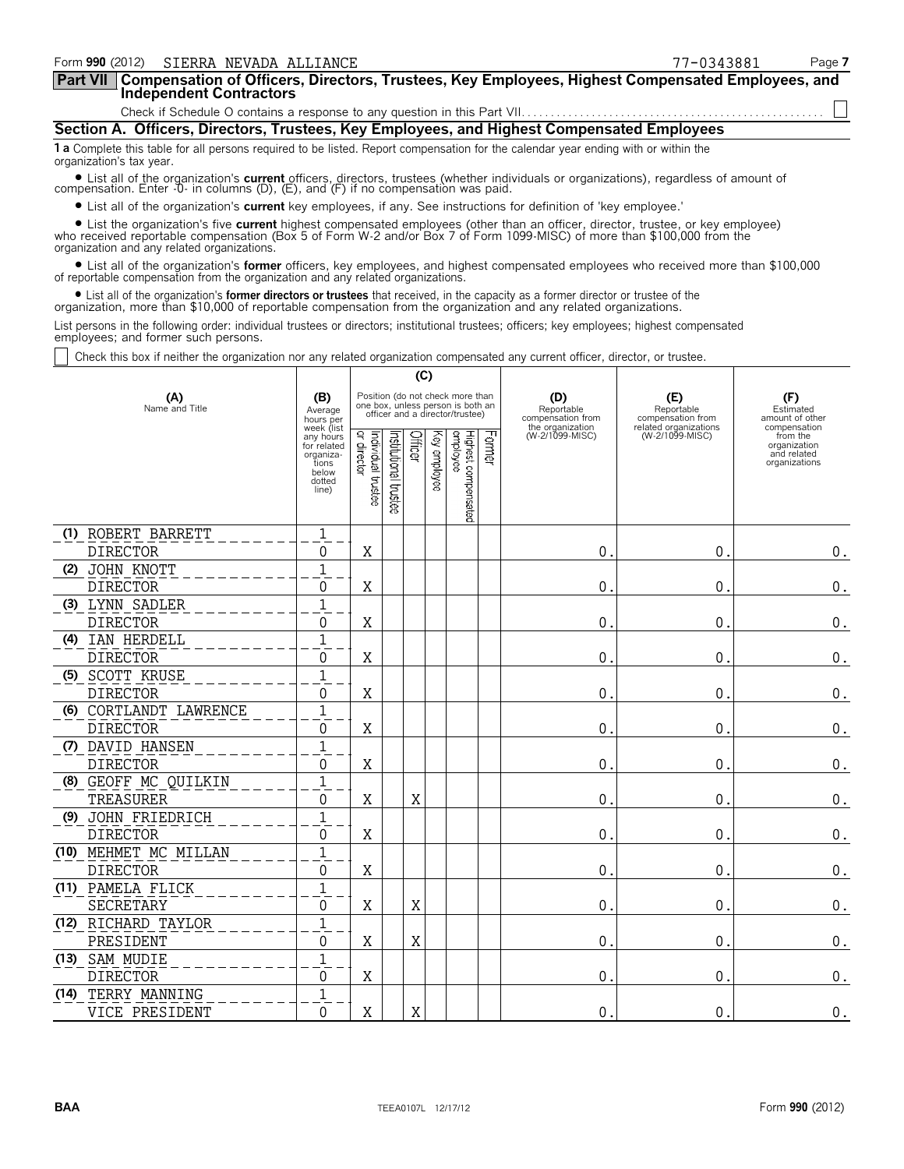| Form 990 (2012)<br>SIERRA NEVADA ALLIANCE                                                                                                                                                                                                                                     | 77-0343881 | Page 7 |
|-------------------------------------------------------------------------------------------------------------------------------------------------------------------------------------------------------------------------------------------------------------------------------|------------|--------|
| Part VII Compensation of Officers, Directors, Trustees, Key Employees, Highest Compensated Employees, and<br><b>Independent Contractors</b>                                                                                                                                   |            |        |
|                                                                                                                                                                                                                                                                               |            |        |
| Section A. Officers, Directors, Trustees, Key Employees, and Highest Compensated Employees                                                                                                                                                                                    |            |        |
| 1 a Complete this table for all persons required to be listed. Report compensation for the calendar year ending with or within the<br>organization's tax year.                                                                                                                |            |        |
| • List all of the organization's current officers, directors, trustees (whether individuals or organizations), regardless of amount of compensation. Enter -0- in columns (D), (E), and (F) if no compensation was paid.                                                      |            |        |
| • List all of the organization's <b>current</b> key employees, if any. See instructions for definition of 'key employee.'                                                                                                                                                     |            |        |
| • List the organization's five current highest compensated employees (other than an officer, director, trustee, or key employee) who received reportable compensation (Box 5 of Form W-2 and/or Box 7 of Form 1099-MISC) of mo<br>organization and any related organizations. |            |        |

? List all of the organization's **former** officers, key employees, and highest compensated employees who received more than \$100,000 of reportable compensation from the organization and any related organizations.

• List all of the organization's **former directors or trustees** that received, in the capacity as a former director or trustee of the<br>organization, more than \$10,000 of reportable compensation from the organization and an

List persons in the following order: individual trustees or directors; institutional trustees; officers; key employees; highest compensated employees; and former such persons.

Check this box if neither the organization nor any related organization compensated any current officer, director, or trustee.

|      |                       |                                                                            | (C)                                                                                                      |                      |         |                 |                                 |               |                                                            |                                                                 |                                                          |
|------|-----------------------|----------------------------------------------------------------------------|----------------------------------------------------------------------------------------------------------|----------------------|---------|-----------------|---------------------------------|---------------|------------------------------------------------------------|-----------------------------------------------------------------|----------------------------------------------------------|
|      | (A)<br>Name and Title | (B)<br>Average<br>hours per<br>week (list                                  | Position (do not check more than<br>one box, unless person is both an<br>officer and a director/trustee) |                      |         |                 |                                 |               | (D)<br>Reportable<br>compensation from<br>the organization | (E)<br>Reportable<br>compensation from<br>related organizations | (F)<br>Estimated<br>amount of other<br>compensation      |
|      |                       | any hours<br>for related<br>organiza-<br>tions<br>below<br>dotted<br>line) | Individual trustee<br>or director                                                                        | nstitutional trustee | Officer | ΚΘ)<br>employee | Highest compensated<br>employee | <b>Former</b> | (W-2/1099-MISC)                                            | (W-2/1099-MISC)                                                 | from the<br>organization<br>and related<br>organizations |
|      | (1) ROBERT BARRETT    | $\mathbf{1}$                                                               |                                                                                                          |                      |         |                 |                                 |               |                                                            |                                                                 |                                                          |
|      | <b>DIRECTOR</b>       | 0                                                                          | X                                                                                                        |                      |         |                 |                                 |               | $\mathbf{0}$                                               | $\mathbf 0$ .                                                   | $\boldsymbol{0}$ .                                       |
| (2)  | JOHN KNOTT            | 1                                                                          |                                                                                                          |                      |         |                 |                                 |               |                                                            |                                                                 |                                                          |
|      | <b>DIRECTOR</b>       | 0                                                                          | X                                                                                                        |                      |         |                 |                                 |               | $\mathbf{0}$ .                                             | $\mathbf{0}$ .                                                  | $\boldsymbol{0}$ .                                       |
|      | (3) LYNN SADLER       | 1                                                                          |                                                                                                          |                      |         |                 |                                 |               |                                                            |                                                                 |                                                          |
|      | <b>DIRECTOR</b>       | 0                                                                          | Χ                                                                                                        |                      |         |                 |                                 |               | $\mathbf 0$ .                                              | 0.                                                              | $\boldsymbol{0}$ .                                       |
|      | (4) IAN HERDELL       | $\overline{1}$                                                             |                                                                                                          |                      |         |                 |                                 |               |                                                            |                                                                 |                                                          |
|      | <b>DIRECTOR</b>       | 0                                                                          | Χ                                                                                                        |                      |         |                 |                                 |               | $\mathbf{0}$                                               | 0                                                               | $\boldsymbol{0}$ .                                       |
|      | (5) SCOTT KRUSE       | $\overline{1}$                                                             |                                                                                                          |                      |         |                 |                                 |               |                                                            |                                                                 |                                                          |
|      | <b>DIRECTOR</b>       | 0                                                                          | Χ                                                                                                        |                      |         |                 |                                 |               | $\mathbf{0}$ .                                             | $\mathbf{0}$ .                                                  | $\boldsymbol{0}$ .                                       |
| (6)  | CORTLANDT LAWRENCE    | 1                                                                          |                                                                                                          |                      |         |                 |                                 |               |                                                            |                                                                 |                                                          |
|      | <b>DIRECTOR</b>       | 0                                                                          | Χ                                                                                                        |                      |         |                 |                                 |               | $\mathbf{0}$ .                                             | 0.                                                              | 0.                                                       |
|      | (7) DAVID HANSEN      | $\mathbf{1}$                                                               |                                                                                                          |                      |         |                 |                                 |               |                                                            |                                                                 |                                                          |
|      | <b>DIRECTOR</b>       | 0                                                                          | Χ                                                                                                        |                      |         |                 |                                 |               | $\mathbf 0$ .                                              | $\mathbf{0}$ .                                                  | 0.                                                       |
|      | (8) GEOFF MC QUILKIN  | $\mathbf{1}$                                                               |                                                                                                          |                      |         |                 |                                 |               |                                                            |                                                                 |                                                          |
|      | TREASURER             | 0                                                                          | Χ                                                                                                        |                      | Χ       |                 |                                 |               | $\mathbf 0$ .                                              | $\mathbf{0}$ .                                                  | $\boldsymbol{0}$ .                                       |
|      | (9) JOHN FRIEDRICH    | $\mathbf 1$                                                                |                                                                                                          |                      |         |                 |                                 |               |                                                            |                                                                 |                                                          |
|      | <b>DIRECTOR</b>       | 0                                                                          | Χ                                                                                                        |                      |         |                 |                                 |               | 0.                                                         | $\mathbf 0$ .                                                   | 0.                                                       |
|      | (10) MEHMET MC MILLAN | $\,1\,$                                                                    |                                                                                                          |                      |         |                 |                                 |               |                                                            |                                                                 |                                                          |
|      | <b>DIRECTOR</b>       | 0                                                                          | Χ                                                                                                        |                      |         |                 |                                 |               | 0.                                                         | 0.                                                              | $\boldsymbol{0}$ .                                       |
|      | (11) PAMELA FLICK     | $\mathbf{1}$                                                               |                                                                                                          |                      |         |                 |                                 |               |                                                            |                                                                 |                                                          |
|      | <b>SECRETARY</b>      | 0                                                                          | X                                                                                                        |                      | Χ       |                 |                                 |               | 0.                                                         | 0.                                                              | $\boldsymbol{0}$ .                                       |
|      | (12) RICHARD TAYLOR   | $\mathbf{1}$                                                               |                                                                                                          |                      |         |                 |                                 |               |                                                            |                                                                 |                                                          |
|      | PRESIDENT             | 0                                                                          | Χ                                                                                                        |                      | X       |                 |                                 |               | $\mathbf 0$ .                                              | 0.                                                              | $\boldsymbol{0}$ .                                       |
| (13) | SAM MUDIE             | $\mathbf 1$                                                                |                                                                                                          |                      |         |                 |                                 |               |                                                            |                                                                 |                                                          |
|      | <b>DIRECTOR</b>       | 0                                                                          | X                                                                                                        |                      |         |                 |                                 |               | $\mathbf{0}$ .                                             | $\mathbf 0$ .                                                   | $\boldsymbol{0}$ .                                       |
| (14) | TERRY MANNING         | $\mathbf{1}$                                                               |                                                                                                          |                      |         |                 |                                 |               |                                                            |                                                                 |                                                          |
|      | VICE PRESIDENT        | 0                                                                          | X                                                                                                        |                      | X       |                 |                                 |               | $\mathbf{0}$ .                                             | $\mathbf 0$ .                                                   | $0_{.}$                                                  |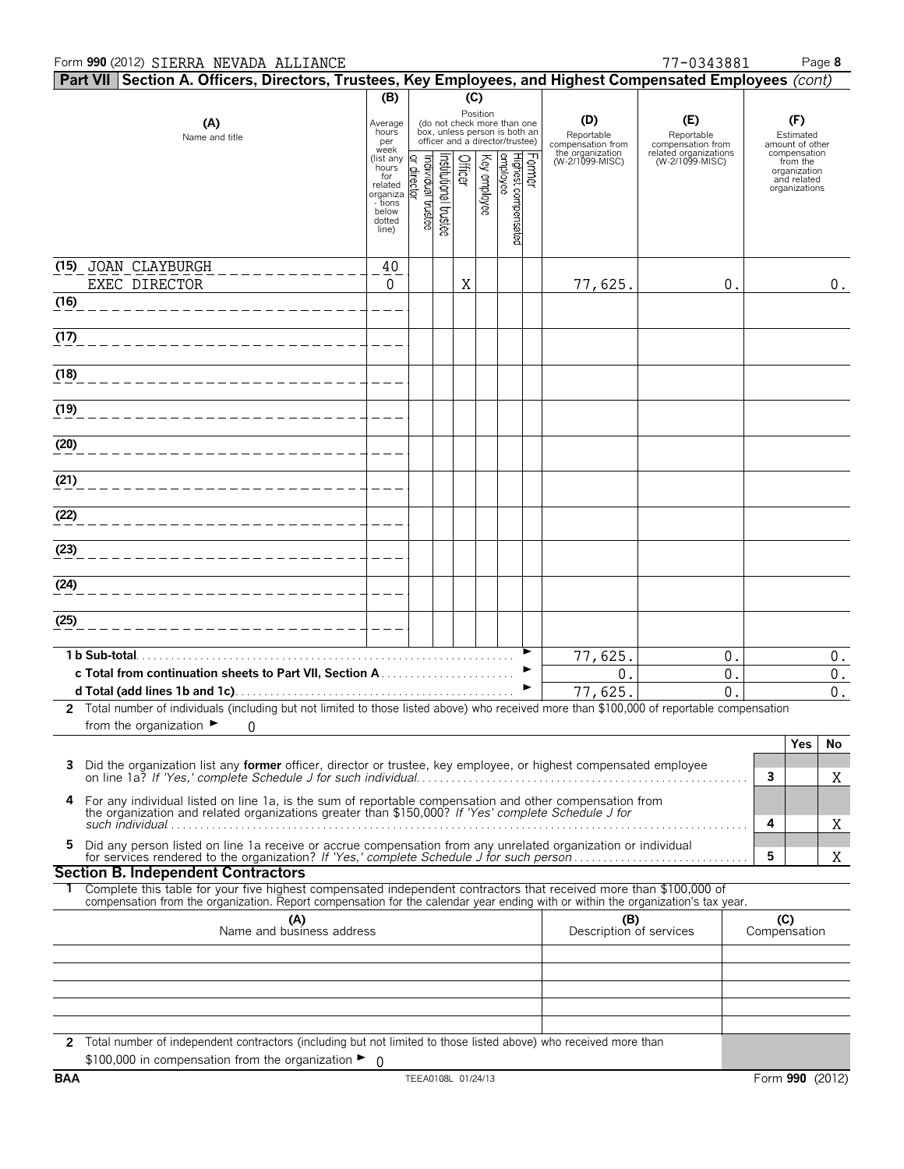### Form **990** (2012) Page **8** SIERRA NEVADA ALLIANCE 77-0343881

|      | Part VII Section A. Officers, Directors, Trustees, Key Employees, and Highest Compensated Employees (cont)                                                                                                                                             |                              |                                   |                      |         |              |                                                                                                             |        |                                        |                                          |   |                                              |             |
|------|--------------------------------------------------------------------------------------------------------------------------------------------------------------------------------------------------------------------------------------------------------|------------------------------|-----------------------------------|----------------------|---------|--------------|-------------------------------------------------------------------------------------------------------------|--------|----------------------------------------|------------------------------------------|---|----------------------------------------------|-------------|
|      |                                                                                                                                                                                                                                                        | (B)                          |                                   |                      | (C)     |              |                                                                                                             |        |                                        |                                          |   |                                              |             |
|      | (A)<br>Name and title                                                                                                                                                                                                                                  | Average<br>hours<br>per      |                                   |                      |         |              | Position<br>(do not check more than one<br>box, unless person is both an<br>officer and a director/trustee) |        | (D)<br>Reportable<br>compensation from | (E)<br>Reportable<br>compensation from   |   | (F)<br>Estimated<br>amount of other          |             |
|      |                                                                                                                                                                                                                                                        | week<br>(list any<br>hours   |                                   |                      |         |              |                                                                                                             |        | the organization<br>(W-2/1099-MISC)    | related organizations<br>(W-2/1099-MISC) |   | compensation<br>from the                     |             |
|      |                                                                                                                                                                                                                                                        | for<br>related               | Individual trustee<br>or director | nstitutional trustee | Officer | Key employee |                                                                                                             | Former |                                        |                                          |   | organization<br>and related<br>organizations |             |
|      |                                                                                                                                                                                                                                                        | organiza<br>- tions<br>below |                                   |                      |         |              |                                                                                                             |        |                                        |                                          |   |                                              |             |
|      |                                                                                                                                                                                                                                                        | dotted<br>line)              |                                   |                      |         |              | Highest compensated<br>employee                                                                             |        |                                        |                                          |   |                                              |             |
|      | (15) JOAN CLAYBURGH                                                                                                                                                                                                                                    | 40                           |                                   |                      |         |              |                                                                                                             |        |                                        |                                          |   |                                              |             |
|      | EXEC DIRECTOR                                                                                                                                                                                                                                          | $\Omega$                     |                                   |                      | X       |              |                                                                                                             |        | 77,625.                                | 0.                                       |   |                                              | $0$ .       |
| (16) | _______________________                                                                                                                                                                                                                                |                              |                                   |                      |         |              |                                                                                                             |        |                                        |                                          |   |                                              |             |
| (17) | -------------------------                                                                                                                                                                                                                              |                              |                                   |                      |         |              |                                                                                                             |        |                                        |                                          |   |                                              |             |
| (18) | -------------------------                                                                                                                                                                                                                              |                              |                                   |                      |         |              |                                                                                                             |        |                                        |                                          |   |                                              |             |
| (19) |                                                                                                                                                                                                                                                        |                              |                                   |                      |         |              |                                                                                                             |        |                                        |                                          |   |                                              |             |
|      |                                                                                                                                                                                                                                                        |                              |                                   |                      |         |              |                                                                                                             |        |                                        |                                          |   |                                              |             |
| (20) |                                                                                                                                                                                                                                                        |                              |                                   |                      |         |              |                                                                                                             |        |                                        |                                          |   |                                              |             |
| (21) |                                                                                                                                                                                                                                                        |                              |                                   |                      |         |              |                                                                                                             |        |                                        |                                          |   |                                              |             |
| (22) | _________________________                                                                                                                                                                                                                              |                              |                                   |                      |         |              |                                                                                                             |        |                                        |                                          |   |                                              |             |
| (23) | -------------------------                                                                                                                                                                                                                              |                              |                                   |                      |         |              |                                                                                                             |        |                                        |                                          |   |                                              |             |
|      |                                                                                                                                                                                                                                                        |                              |                                   |                      |         |              |                                                                                                             |        |                                        |                                          |   |                                              |             |
| (24) | -----------------------------                                                                                                                                                                                                                          |                              |                                   |                      |         |              |                                                                                                             |        |                                        |                                          |   |                                              |             |
| (25) | ____________________________                                                                                                                                                                                                                           |                              |                                   |                      |         |              |                                                                                                             |        |                                        |                                          |   |                                              |             |
|      |                                                                                                                                                                                                                                                        |                              |                                   |                      |         |              |                                                                                                             |        |                                        | 0.                                       |   |                                              |             |
|      |                                                                                                                                                                                                                                                        |                              |                                   |                      |         |              |                                                                                                             |        | 77,625.<br>0.                          | 0.                                       |   |                                              | $0$ .<br>0. |
|      |                                                                                                                                                                                                                                                        |                              |                                   |                      |         |              |                                                                                                             | ▶      | 77,625.                                | $\overline{0}$ .                         |   |                                              | $0$ .       |
|      | 2 Total number of individuals (including but not limited to those listed above) who received more than \$100,000 of reportable compensation<br>from the organization $\blacktriangleright$                                                             |                              |                                   |                      |         |              |                                                                                                             |        |                                        |                                          |   |                                              |             |
|      | 0                                                                                                                                                                                                                                                      |                              |                                   |                      |         |              |                                                                                                             |        |                                        |                                          |   | Yes                                          | No          |
| 3    | Did the organization list any former officer, director or trustee, key employee, or highest compensated employee                                                                                                                                       |                              |                                   |                      |         |              |                                                                                                             |        |                                        |                                          | 3 |                                              | X           |
| 4    | For any individual listed on line 1a, is the sum of reportable compensation and other compensation from                                                                                                                                                |                              |                                   |                      |         |              |                                                                                                             |        |                                        |                                          |   |                                              |             |
|      | the organization and related organizations greater than \$150,000? If 'Yes' complete Schedule J for                                                                                                                                                    |                              |                                   |                      |         |              |                                                                                                             |        |                                        |                                          | 4 |                                              | Χ           |
| 5.   | Did any person listed on line 1a receive or accrue compensation from any unrelated organization or individual                                                                                                                                          |                              |                                   |                      |         |              |                                                                                                             |        |                                        |                                          | 5 |                                              | Χ           |
|      | <b>Section B. Independent Contractors</b>                                                                                                                                                                                                              |                              |                                   |                      |         |              |                                                                                                             |        |                                        |                                          |   |                                              |             |
|      | Complete this table for your five highest compensated independent contractors that received more than \$100,000 of<br>compensation from the organization. Report compensation for the calendar year ending with or within the organization's tax year. |                              |                                   |                      |         |              |                                                                                                             |        |                                        |                                          |   |                                              |             |
|      | (C)<br>(A)<br>Name and business address<br>(B)<br>Description of services<br>Compensation                                                                                                                                                              |                              |                                   |                      |         |              |                                                                                                             |        |                                        |                                          |   |                                              |             |
|      |                                                                                                                                                                                                                                                        |                              |                                   |                      |         |              |                                                                                                             |        |                                        |                                          |   |                                              |             |
|      |                                                                                                                                                                                                                                                        |                              |                                   |                      |         |              |                                                                                                             |        |                                        |                                          |   |                                              |             |
|      |                                                                                                                                                                                                                                                        |                              |                                   |                      |         |              |                                                                                                             |        |                                        |                                          |   |                                              |             |
|      |                                                                                                                                                                                                                                                        |                              |                                   |                      |         |              |                                                                                                             |        |                                        |                                          |   |                                              |             |
|      | 2 Total number of independent contractors (including but not limited to those listed above) who received more than<br>\$100,000 in compensation from the organization $\blacktriangleright$ 0                                                          |                              |                                   |                      |         |              |                                                                                                             |        |                                        |                                          |   |                                              |             |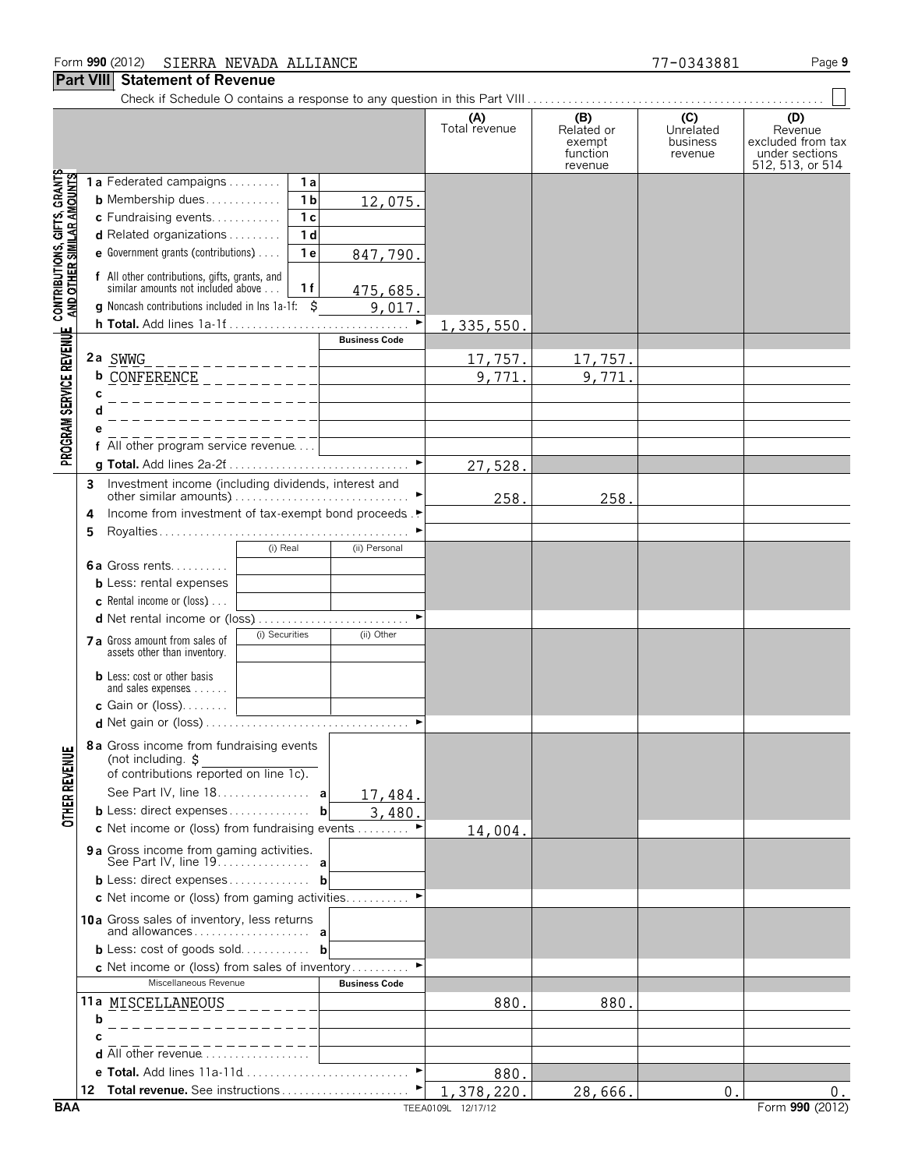#### **Part VIII Statement of Revenue**

|  | ı  |
|--|----|
|  | a. |

|                                                                                                           |                                                                                                       |                      | (B)                                         | (C)                              | (D)                                                                |
|-----------------------------------------------------------------------------------------------------------|-------------------------------------------------------------------------------------------------------|----------------------|---------------------------------------------|----------------------------------|--------------------------------------------------------------------|
|                                                                                                           |                                                                                                       | (A)<br>Total revenue | Related or<br>exempt<br>function<br>revenue | Unrelated<br>business<br>revenue | Revenue<br>excluded from tax<br>under sections<br>512, 513, or 514 |
| PROGRAM SERVICE REVENUE CONTRIBUTIONS, GIFTS, GRANTS<br>PROGRAM SERVICE REVENUE AND OTHER SIMILAR AMOUNTS | 1a Federated campaigns<br>1a                                                                          |                      |                                             |                                  |                                                                    |
|                                                                                                           | 1 <sub>b</sub><br><b>b</b> Membership dues<br>12,075.                                                 |                      |                                             |                                  |                                                                    |
|                                                                                                           | c Fundraising events<br>1 <sub>c</sub>                                                                |                      |                                             |                                  |                                                                    |
|                                                                                                           | 1 <sub>d</sub><br><b>d</b> Related organizations $\ldots$                                             |                      |                                             |                                  |                                                                    |
|                                                                                                           | e Government grants (contributions)<br>1e<br>847,790.                                                 |                      |                                             |                                  |                                                                    |
|                                                                                                           | f All other contributions, gifts, grants, and<br>similar amounts not included above<br>1f<br>475,685. |                      |                                             |                                  |                                                                    |
|                                                                                                           | <b>g</b> Noncash contributions included in lns 1a-1f:<br>Ŝ<br>9,017.                                  |                      |                                             |                                  |                                                                    |
|                                                                                                           |                                                                                                       | 1,335,550.           |                                             |                                  |                                                                    |
|                                                                                                           | <b>Business Code</b>                                                                                  |                      |                                             |                                  |                                                                    |
|                                                                                                           | 2a SWWG                                                                                               | 17,757.              | <u>17,757.</u>                              |                                  |                                                                    |
|                                                                                                           | b CONFERENCE _ _ _ _ _ _ _ _ _ _ _ _ _ _                                                              | 9,771.               | 9,771                                       |                                  |                                                                    |
|                                                                                                           | C                                                                                                     |                      |                                             |                                  |                                                                    |
|                                                                                                           |                                                                                                       |                      |                                             |                                  |                                                                    |
|                                                                                                           | All other program service revenue                                                                     |                      |                                             |                                  |                                                                    |
|                                                                                                           |                                                                                                       | 27,528.              |                                             |                                  |                                                                    |
|                                                                                                           | Investment income (including dividends, interest and<br>3                                             |                      |                                             |                                  |                                                                    |
|                                                                                                           | Income from investment of tax-exempt bond proceeds.                                                   | 258.                 | 258.                                        |                                  |                                                                    |
|                                                                                                           | 4                                                                                                     |                      |                                             |                                  |                                                                    |
|                                                                                                           | (i) Real<br>(ii) Personal                                                                             |                      |                                             |                                  |                                                                    |
|                                                                                                           | <b>6a</b> Gross rents                                                                                 |                      |                                             |                                  |                                                                    |
|                                                                                                           | <b>b</b> Less: rental expenses                                                                        |                      |                                             |                                  |                                                                    |
|                                                                                                           | <b>c</b> Rental income or (loss) $\ldots$                                                             |                      |                                             |                                  |                                                                    |
|                                                                                                           | d Net rental income or (loss)                                                                         |                      |                                             |                                  |                                                                    |
|                                                                                                           | (i) Securities<br>(ii) Other<br>7 a Gross amount from sales of<br>assets other than inventory.        |                      |                                             |                                  |                                                                    |
|                                                                                                           | <b>b</b> Less: cost or other basis                                                                    |                      |                                             |                                  |                                                                    |
|                                                                                                           | and sales expenses<br><b>c</b> Gain or (loss). $\ldots$ .                                             |                      |                                             |                                  |                                                                    |
|                                                                                                           |                                                                                                       |                      |                                             |                                  |                                                                    |
| 띡                                                                                                         | 8a Gross income from fundraising events<br>(not including. \$                                         |                      |                                             |                                  |                                                                    |
|                                                                                                           | of contributions reported on line 1c).                                                                |                      |                                             |                                  |                                                                    |
|                                                                                                           | See Part IV, line 18. a<br>17,484.                                                                    |                      |                                             |                                  |                                                                    |
| <b>OTHER REVEN</b>                                                                                        | <b>b</b> Less: direct expenses<br>b<br>3,480.                                                         |                      |                                             |                                  |                                                                    |
|                                                                                                           | c Net income or (loss) from fundraising events $\dots\dots\dots$                                      | 14,004.              |                                             |                                  |                                                                    |
|                                                                                                           | 9 a Gross income from gaming activities.                                                              |                      |                                             |                                  |                                                                    |
|                                                                                                           | $b$ Less: direct expenses<br>b                                                                        |                      |                                             |                                  |                                                                    |
|                                                                                                           | c Net income or (loss) from gaming activities                                                         |                      |                                             |                                  |                                                                    |
|                                                                                                           | 10a Gross sales of inventory, less returns                                                            |                      |                                             |                                  |                                                                    |
|                                                                                                           | <b>b</b> Less: cost of goods sold<br>b                                                                |                      |                                             |                                  |                                                                    |
|                                                                                                           | <b>c</b> Net income or (loss) from sales of inventory                                                 |                      |                                             |                                  |                                                                    |
|                                                                                                           | Miscellaneous Revenue<br><b>Business Code</b>                                                         |                      |                                             |                                  |                                                                    |
|                                                                                                           | 11a MISCELLANEOUS<br>$- - - - - -$                                                                    | 880.                 | 880.                                        |                                  |                                                                    |
|                                                                                                           | b                                                                                                     |                      |                                             |                                  |                                                                    |
|                                                                                                           | C                                                                                                     |                      |                                             |                                  |                                                                    |
|                                                                                                           | <b>d</b> All other revenue $\ldots$ , $\ldots$<br>$\blacktriangleright$<br>e Total. Add lines 11a-11d |                      |                                             |                                  |                                                                    |
|                                                                                                           |                                                                                                       | 880.<br>1,378,220.   | 28,666.                                     | 0 <sub>1</sub>                   | О.                                                                 |
| <b>BAA</b>                                                                                                |                                                                                                       | TEEA0109L 12/17/12   |                                             |                                  | Form 990 (2012)                                                    |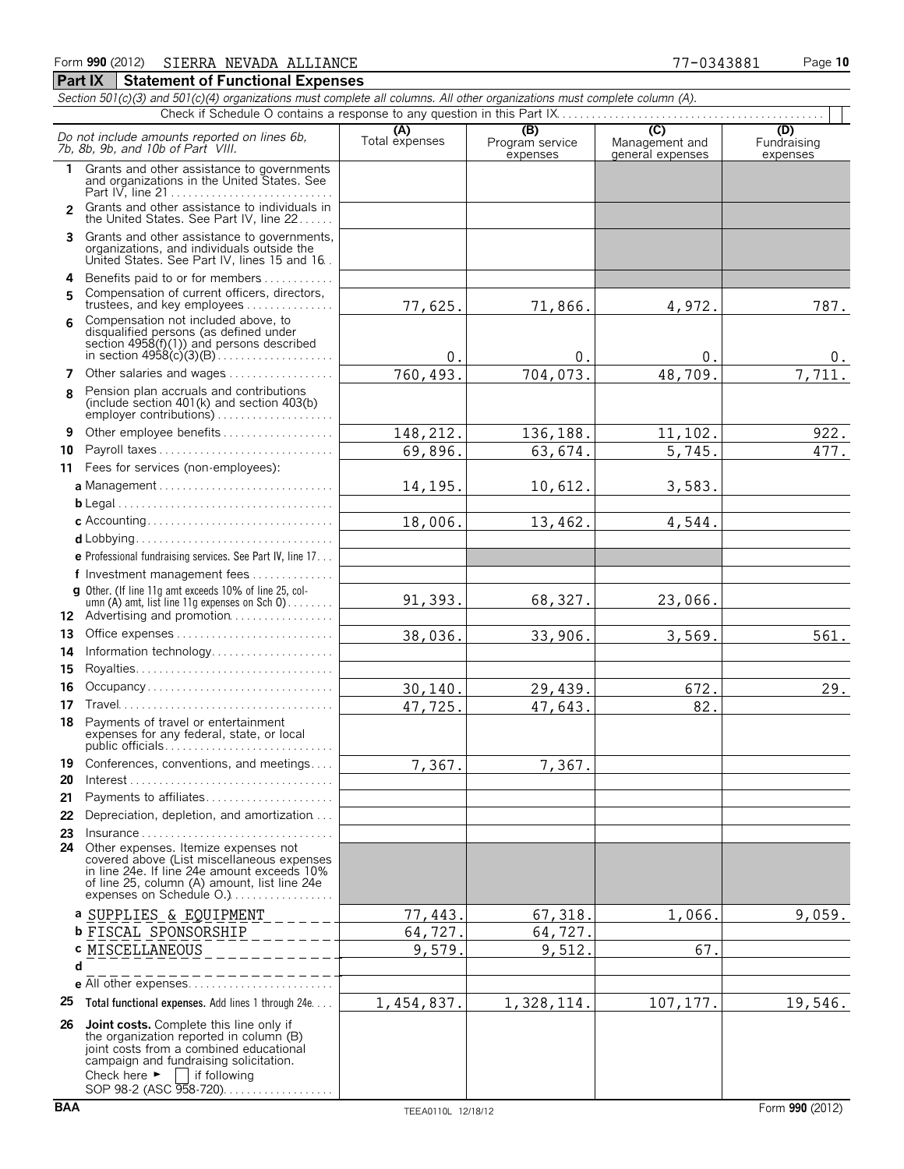|              | Section 501(c)(3) and 501(c)(4) organizations must complete all columns. All other organizations must complete column (A).                                                                                                                                                                     |                       |                                    |                                    |                                |
|--------------|------------------------------------------------------------------------------------------------------------------------------------------------------------------------------------------------------------------------------------------------------------------------------------------------|-----------------------|------------------------------------|------------------------------------|--------------------------------|
|              |                                                                                                                                                                                                                                                                                                |                       |                                    | (C)                                |                                |
|              | Do not include amounts reported on lines 6b,<br>7b, 8b, 9b, and 10b of Part VIII.                                                                                                                                                                                                              | (A)<br>Total expenses | (B)<br>Program service<br>expenses | Management and<br>general expenses | (D)<br>Fundraising<br>expenses |
| $\mathbf{1}$ | Grants and other assistance to governments<br>and organizations in the United States. See                                                                                                                                                                                                      |                       |                                    |                                    |                                |
| 2            | Grants and other assistance to individuals in<br>the United States. See Part IV, line 22                                                                                                                                                                                                       |                       |                                    |                                    |                                |
| 3.           | Grants and other assistance to governments,<br>organizations, and individuals outside the<br>United States. See Part IV, lines 15 and 16.                                                                                                                                                      |                       |                                    |                                    |                                |
| 4            | Benefits paid to or for members                                                                                                                                                                                                                                                                |                       |                                    |                                    |                                |
| 5            | Compensation of current officers, directors,<br>trustees, and key employees                                                                                                                                                                                                                    | 77,625.               | 71,866.                            | 4,972.                             | 787.                           |
| 6            | Compensation not included above, to<br>disqualified persons (as defined under<br>section $4958(f)(1)$ and persons described                                                                                                                                                                    | 0.                    | $0$ .                              | 0.                                 | 0.                             |
| 7            | Other salaries and wages                                                                                                                                                                                                                                                                       | 760,493.              | 704,073.                           | 48,709.                            | 7,711.                         |
| 8            | Pension plan accruals and contributions<br>(include section 401(k) and section 403(b)<br>employer contributions)                                                                                                                                                                               |                       |                                    |                                    |                                |
| 9            | Other employee benefits                                                                                                                                                                                                                                                                        | 148,212.              | 136,188.                           | 11,102.                            | 922.                           |
| 10           | Payroll taxes                                                                                                                                                                                                                                                                                  | 69,896.               | 63,674.                            | 5,745.                             | 477.                           |
|              | 11 Fees for services (non-employees):                                                                                                                                                                                                                                                          |                       |                                    |                                    |                                |
|              |                                                                                                                                                                                                                                                                                                | 14,195.               | 10,612.                            | 3,583.                             |                                |
|              |                                                                                                                                                                                                                                                                                                |                       |                                    |                                    |                                |
|              |                                                                                                                                                                                                                                                                                                | 18,006.               | 13,462.                            | 4,544.                             |                                |
|              |                                                                                                                                                                                                                                                                                                |                       |                                    |                                    |                                |
|              | e Professional fundraising services. See Part IV, line 17                                                                                                                                                                                                                                      |                       |                                    |                                    |                                |
|              | f Investment management fees                                                                                                                                                                                                                                                                   |                       |                                    |                                    |                                |
| 12           | g Other. (If line 11g amt exceeds 10% of line 25, col-<br>umn (A) amt, list line 11g expenses on Sch $0$ )<br>Advertising and promotion                                                                                                                                                        | 91,393.               | 68,327.                            | 23,066.                            |                                |
| 13           | Office expenses                                                                                                                                                                                                                                                                                | 38,036.               | 33,906.                            | 3,569.                             | 561.                           |
| 14           | Information technology                                                                                                                                                                                                                                                                         |                       |                                    |                                    |                                |
| 15           |                                                                                                                                                                                                                                                                                                |                       |                                    |                                    |                                |
| 16           | Occupancy                                                                                                                                                                                                                                                                                      | 30, 140.              | 29,439.                            | 672.                               | 29.                            |
| 17           |                                                                                                                                                                                                                                                                                                | 47,725.               | 47,643.                            | 82.                                |                                |
| 18           | Payments of travel or entertainment<br>expenses for any federal, state, or local<br>public officials                                                                                                                                                                                           |                       |                                    |                                    |                                |
| 19           | Conferences, conventions, and meetings                                                                                                                                                                                                                                                         | 7,367.                | 7,367.                             |                                    |                                |
| 20           |                                                                                                                                                                                                                                                                                                |                       |                                    |                                    |                                |
| 21           | Payments to affiliates                                                                                                                                                                                                                                                                         |                       |                                    |                                    |                                |
| 22           | Depreciation, depletion, and amortization                                                                                                                                                                                                                                                      |                       |                                    |                                    |                                |
| 23           | $Insurance \ldots \ldots \ldots \ldots \ldots \ldots \ldots \ldots \ldots$<br>24 Other expenses. Itemize expenses not<br>covered above (List miscellaneous expenses<br>in line 24e. If line 24e amount exceeds 10%<br>of line 25, column (A) amount, list line 24e<br>expenses on Schedule O.) |                       |                                    |                                    |                                |
|              | a SUPPLIES & EQUIPMENT                                                                                                                                                                                                                                                                         | 77,443.               | 67,318.                            | 1,066.                             | 9,059.                         |
|              | <b>b</b> FISCAL SPONSORSHIP                                                                                                                                                                                                                                                                    | 64,727                | 64,727.                            |                                    |                                |
|              | c MISCELLANEOUS                                                                                                                                                                                                                                                                                | 9,579                 | 9,512                              | 67                                 |                                |
|              | _________<br>d                                                                                                                                                                                                                                                                                 |                       |                                    |                                    |                                |
|              | ___________                                                                                                                                                                                                                                                                                    |                       |                                    |                                    |                                |
|              | 25 Total functional expenses. Add lines 1 through 24e                                                                                                                                                                                                                                          | 1,454,837.            | 1,328,114.                         | 107, 177.                          | 19,546.                        |
| 26           | <b>Joint costs.</b> Complete this line only if<br>the organization reported in column (B)<br>joint costs from a combined educational<br>campaign and fundraising solicitation.<br>Check here $\blacktriangleright$<br>if following                                                             |                       |                                    |                                    |                                |

SOP 98-2 (ASC 958-720). . . . . . . . . . . . . . . . .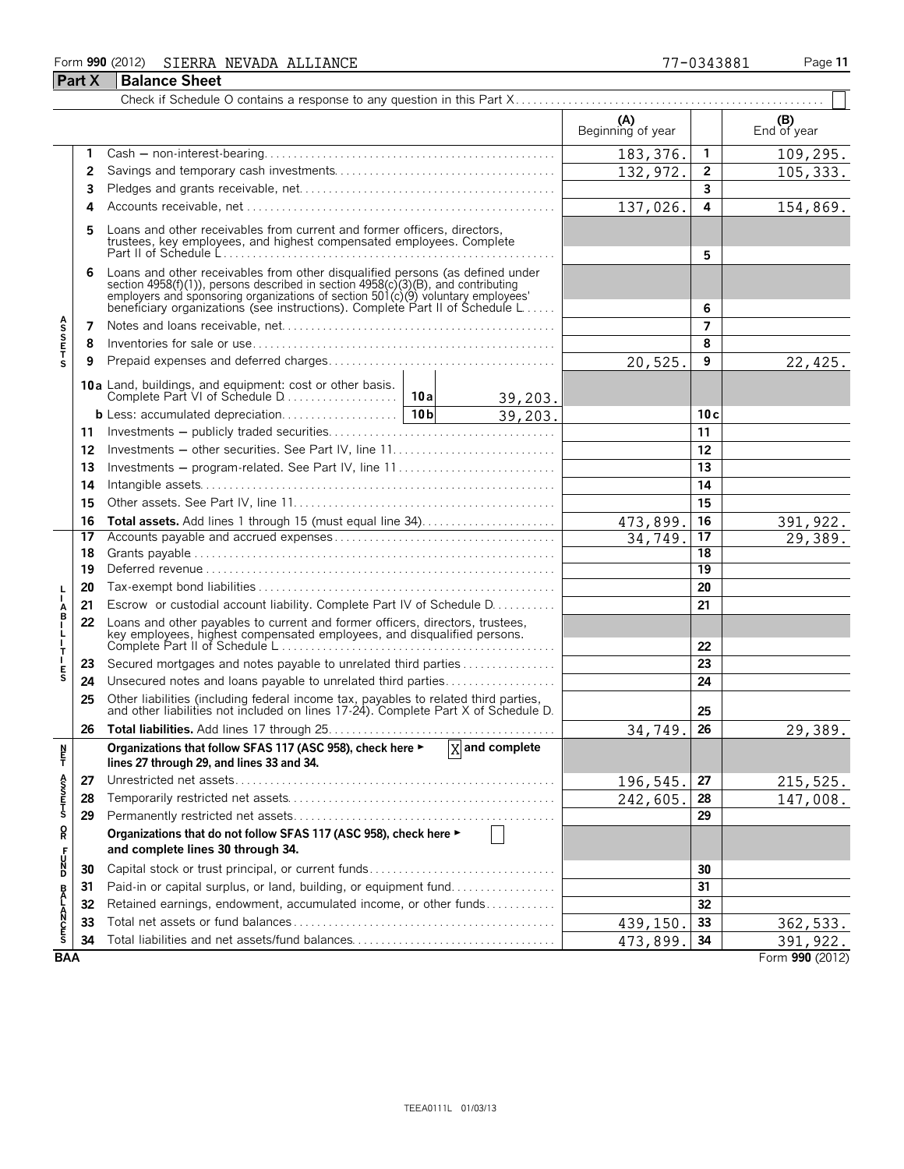## Form **990** (2012) Page **11** SIERRA NEVADA ALLIANCE 77-0343881 **Part X Balance Sheet**

|                       |    |                                                                                                                                                                                                                                                                                                                      |         | (A)<br>Beginning of year |                 | (B)<br>End of year |
|-----------------------|----|----------------------------------------------------------------------------------------------------------------------------------------------------------------------------------------------------------------------------------------------------------------------------------------------------------------------|---------|--------------------------|-----------------|--------------------|
|                       | 1  |                                                                                                                                                                                                                                                                                                                      |         | 183, 376.                | $\mathbf{1}$    | 109, 295.          |
|                       | 2  |                                                                                                                                                                                                                                                                                                                      |         | 132, 972.                | $\overline{2}$  | 105, 333.          |
|                       | 3  |                                                                                                                                                                                                                                                                                                                      |         | 3                        |                 |                    |
|                       | 4  |                                                                                                                                                                                                                                                                                                                      |         | 137,026.                 | 4               | 154,869.           |
|                       | 5  | Loans and other receivables from current and former officers, directors,<br>trustees, key employees, and highest compensated employees. Complete                                                                                                                                                                     |         | 5                        |                 |                    |
|                       | 6  | Loans and other receivables from other disqualified persons (as defined under<br>section 4958(f)(1)), persons described in section 4958(c)(3)(B), and contributing<br>employers and sponsoring organizations of section 501(c)(9) voluntary employees'<br>beneficiary organizations (see instructions). Complete Par |         |                          | 6               |                    |
|                       | 7  |                                                                                                                                                                                                                                                                                                                      |         |                          | 7               |                    |
| <b>ASSETS</b>         | 8  |                                                                                                                                                                                                                                                                                                                      |         |                          | 8               |                    |
|                       | 9  |                                                                                                                                                                                                                                                                                                                      |         | 20,525.                  | 9               | 22,425.            |
|                       |    | 10a Land, buildings, and equipment: cost or other basis.                                                                                                                                                                                                                                                             | 39,203. |                          |                 |                    |
|                       |    |                                                                                                                                                                                                                                                                                                                      | 39,203. |                          | 10c             |                    |
|                       | 11 |                                                                                                                                                                                                                                                                                                                      |         |                          | 11              |                    |
|                       | 12 |                                                                                                                                                                                                                                                                                                                      |         |                          | 12              |                    |
|                       | 13 | Investments – program-related. See Part IV, line 11                                                                                                                                                                                                                                                                  |         |                          | 13              |                    |
|                       | 14 |                                                                                                                                                                                                                                                                                                                      |         |                          | 14              |                    |
|                       | 15 |                                                                                                                                                                                                                                                                                                                      |         |                          | 15              |                    |
|                       | 16 |                                                                                                                                                                                                                                                                                                                      |         | 473,899.                 | 16              | 391,922.           |
|                       | 17 |                                                                                                                                                                                                                                                                                                                      |         | 34,749                   | 17              | 29,389.            |
|                       | 18 |                                                                                                                                                                                                                                                                                                                      |         | 18                       |                 |                    |
|                       | 19 |                                                                                                                                                                                                                                                                                                                      |         |                          | $\overline{19}$ |                    |
|                       | 20 |                                                                                                                                                                                                                                                                                                                      |         |                          | 20              |                    |
| Å                     | 21 | Escrow or custodial account liability. Complete Part IV of Schedule D.                                                                                                                                                                                                                                               |         |                          | 21              |                    |
| ł<br>Т                | 22 | Loans and other payables to current and former officers, directors, trustees,<br>key employees, highest compensated employees, and disqualified persons.                                                                                                                                                             |         |                          | 22              |                    |
|                       | 23 | Secured mortgages and notes payable to unrelated third parties                                                                                                                                                                                                                                                       |         |                          | 23              |                    |
| $_{\rm S}^{\rm E}$    | 24 | Unsecured notes and loans payable to unrelated third parties                                                                                                                                                                                                                                                         |         |                          | 24              |                    |
|                       | 25 | Other liabilities (including federal income tax, payables to related third parties, and other liabilities not included on lines 17-24). Complete Part X of Schedule D.                                                                                                                                               |         |                          | 25              |                    |
|                       | 26 |                                                                                                                                                                                                                                                                                                                      |         | 34,749.                  | 26              | 29,389.            |
| N<br>Ë,               |    | Organizations that follow SFAS 117 (ASC 958), check here $\blacktriangleright$ $\boxed{X}$ and complete<br>lines 27 through 29, and lines 33 and 34.                                                                                                                                                                 |         |                          |                 |                    |
|                       | 27 |                                                                                                                                                                                                                                                                                                                      |         | 196,545.                 | 27              | <u>215,525.</u>    |
| A<br>S<br>T<br>T<br>S | 28 |                                                                                                                                                                                                                                                                                                                      |         | 242,605                  | 28              | 147,008.           |
|                       | 29 |                                                                                                                                                                                                                                                                                                                      |         |                          | 29              |                    |
| Q                     |    | Organizations that do not follow SFAS 117 (ASC 958), check here ▶                                                                                                                                                                                                                                                    |         |                          |                 |                    |
|                       |    | and complete lines 30 through 34.                                                                                                                                                                                                                                                                                    |         |                          |                 |                    |
| DN<br>DN              | 30 |                                                                                                                                                                                                                                                                                                                      |         |                          | 30              |                    |
|                       | 31 | Paid-in or capital surplus, or land, building, or equipment fund                                                                                                                                                                                                                                                     |         |                          | 31              |                    |
|                       | 32 | Retained earnings, endowment, accumulated income, or other funds                                                                                                                                                                                                                                                     |         |                          | 32              |                    |
| <b>BALANCES</b>       | 33 |                                                                                                                                                                                                                                                                                                                      |         | 439,150.                 | 33              | 362,533.           |
|                       | 34 | Total liabilities and net assets/fund balances                                                                                                                                                                                                                                                                       |         | 473,899.                 | 34              | 391,922.           |
| <b>BAA</b>            |    |                                                                                                                                                                                                                                                                                                                      |         |                          |                 | Form 990 (2012)    |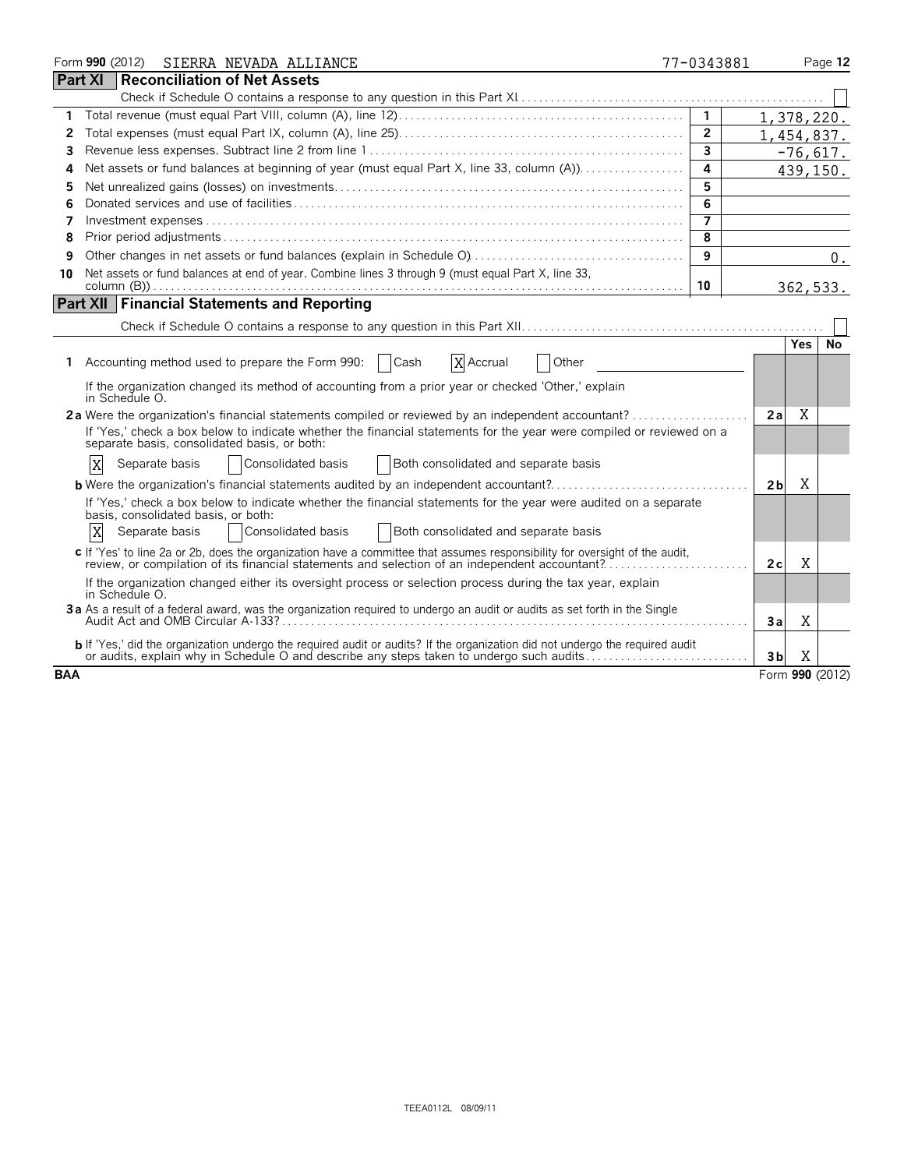|                | Form 990 (2012) SIERRA NEVADA ALLIANCE                                                                                                                                                                                            | 77-0343881     |                |      | Page 12         |
|----------------|-----------------------------------------------------------------------------------------------------------------------------------------------------------------------------------------------------------------------------------|----------------|----------------|------|-----------------|
| <b>Part XI</b> | Reconciliation of Net Assets                                                                                                                                                                                                      |                |                |      |                 |
|                |                                                                                                                                                                                                                                   |                |                |      |                 |
| 1              |                                                                                                                                                                                                                                   | $\mathbf{1}$   | 1,378,220.     |      |                 |
| 2              |                                                                                                                                                                                                                                   | $\overline{2}$ | 1,454,837.     |      |                 |
| 3              |                                                                                                                                                                                                                                   | $\overline{3}$ |                |      | $-76,617.$      |
| 4              | Net assets or fund balances at beginning of year (must equal Part X, line 33, column (A))                                                                                                                                         | 4              |                |      | 439,150.        |
| 5              |                                                                                                                                                                                                                                   | 5              |                |      |                 |
| 6              |                                                                                                                                                                                                                                   | 6              |                |      |                 |
| 7              |                                                                                                                                                                                                                                   | 7              |                |      |                 |
| 8              |                                                                                                                                                                                                                                   | 8              |                |      |                 |
| 9              |                                                                                                                                                                                                                                   | 9              |                |      | $0$ .           |
| 10             | Net assets or fund balances at end of year. Combine lines 3 through 9 (must equal Part X, line 33,                                                                                                                                |                |                |      |                 |
|                |                                                                                                                                                                                                                                   | 10             |                |      | 362,533.        |
|                | <b>Part XII Financial Statements and Reporting</b>                                                                                                                                                                                |                |                |      |                 |
|                |                                                                                                                                                                                                                                   |                |                |      |                 |
|                |                                                                                                                                                                                                                                   |                |                | Yes. | No              |
| 1.             | Accounting method used to prepare the Form 990:   Cash<br>X Accrual<br>Other                                                                                                                                                      |                |                |      |                 |
|                | If the organization changed its method of accounting from a prior year or checked 'Other,' explain<br>in Schedule O.                                                                                                              |                |                |      |                 |
|                |                                                                                                                                                                                                                                   |                | 2a             | X    |                 |
|                | If 'Yes,' check a box below to indicate whether the financial statements for the year were compiled or reviewed on a<br>separate basis, consolidated basis, or both:                                                              |                |                |      |                 |
|                | Consolidated basis<br>ΙX<br>Separate basis<br>Both consolidated and separate basis                                                                                                                                                |                |                |      |                 |
|                | <b>b</b> Were the organization's financial statements audited by an independent accountant?                                                                                                                                       |                | 2 <sub>b</sub> | X    |                 |
|                | If 'Yes,' check a box below to indicate whether the financial statements for the year were audited on a separate<br>basis, consolidated basis, or both:                                                                           |                |                |      |                 |
|                | X<br>Consolidated basis<br>Separate basis<br>Both consolidated and separate basis                                                                                                                                                 |                |                |      |                 |
|                | c If 'Yes' to line 2a or 2b, does the organization have a committee that assumes responsibility for oversight of the audit,<br>review, or compilation of its financial statements and selection of an independent accountant?     |                | 2 c            | X    |                 |
|                | If the organization changed either its oversight process or selection process during the tax year, explain<br>in Schedule O.                                                                                                      |                |                |      |                 |
|                | 3a As a result of a federal award, was the organization required to undergo an audit or audits as set forth in the Single                                                                                                         |                | 3a             | X    |                 |
|                | <b>b</b> If 'Yes,' did the organization undergo the required audit or audits? If the organization did not undergo the required audit<br>or audits, explain why in Schedule O and describe any steps taken to undergo such audits. |                | 3b             | X    |                 |
| <b>BAA</b>     |                                                                                                                                                                                                                                   |                |                |      | Form 990 (2012) |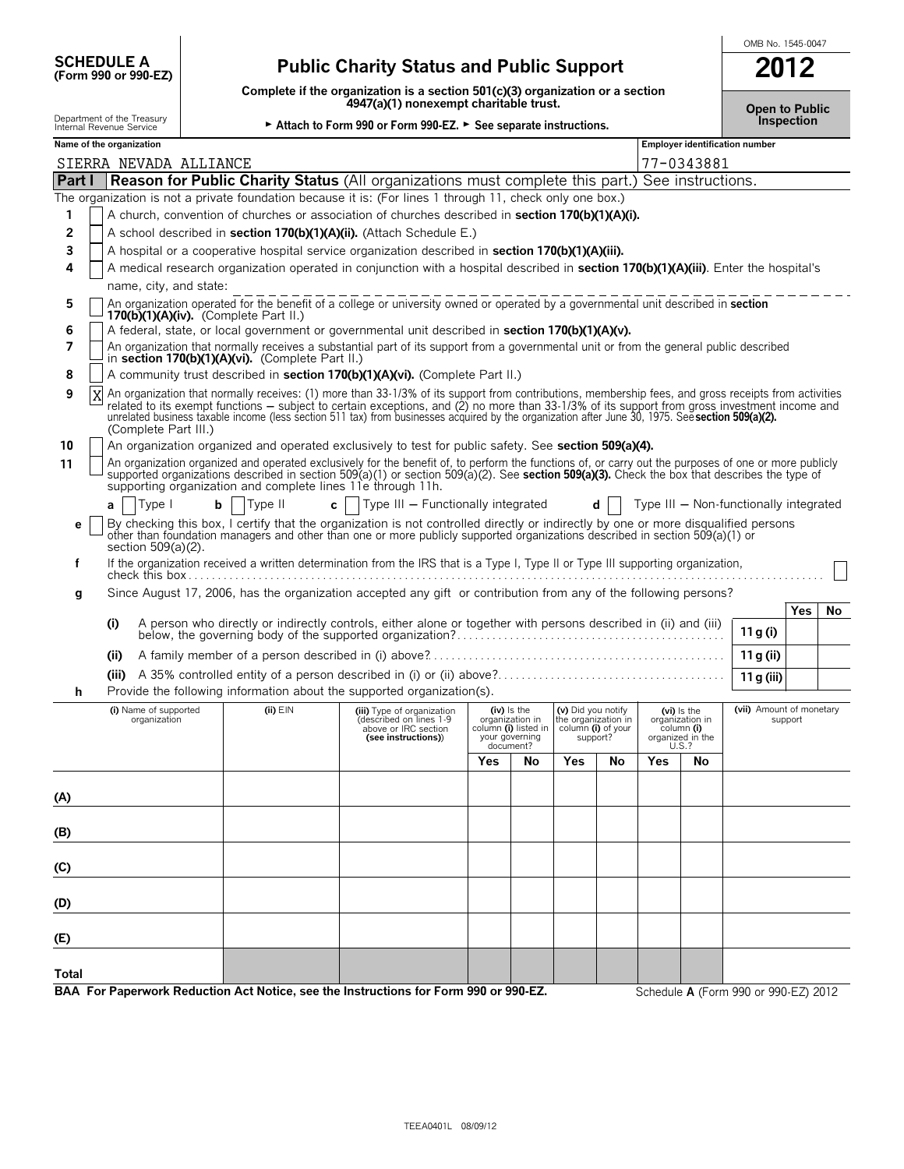| <b>SCHEDULE A</b>                            |  |  |
|----------------------------------------------|--|--|
| $T_{\rm C}$ $\sim$ 000 $\sim$ 000 $\Gamma$ 7 |  |  |

# **(Form 990 or 990-EZ) Public Charity Status and Public Support 2012**

**Complete if the organization is a section 501(c)(3) organization or a section**

OMB No. 1545-0047

|              |                                                        |                                       |                                                             | 4947(a)(1) nonexempt charitable trust.                                                                                                                                                                                                                                                                                                                                                                                                                    |     |                                                                                         |                                                                             |    |       |                                                                  | <b>Open to Public</b>                  |            |    |
|--------------|--------------------------------------------------------|---------------------------------------|-------------------------------------------------------------|-----------------------------------------------------------------------------------------------------------------------------------------------------------------------------------------------------------------------------------------------------------------------------------------------------------------------------------------------------------------------------------------------------------------------------------------------------------|-----|-----------------------------------------------------------------------------------------|-----------------------------------------------------------------------------|----|-------|------------------------------------------------------------------|----------------------------------------|------------|----|
|              | Department of the Treasury<br>Internal Revenue Service |                                       |                                                             | Attach to Form 990 or Form 990-EZ. > See separate instructions.                                                                                                                                                                                                                                                                                                                                                                                           |     |                                                                                         |                                                                             |    |       |                                                                  |                                        | Inspection |    |
|              | Name of the organization                               |                                       |                                                             |                                                                                                                                                                                                                                                                                                                                                                                                                                                           |     |                                                                                         |                                                                             |    |       |                                                                  | <b>Employer identification number</b>  |            |    |
|              |                                                        | SIERRA NEVADA ALLIANCE                |                                                             |                                                                                                                                                                                                                                                                                                                                                                                                                                                           |     |                                                                                         |                                                                             |    |       | 77-0343881                                                       |                                        |            |    |
|              |                                                        |                                       |                                                             | <b>Part I Reason for Public Charity Status</b> (All organizations must complete this part.) See instructions.                                                                                                                                                                                                                                                                                                                                             |     |                                                                                         |                                                                             |    |       |                                                                  |                                        |            |    |
|              |                                                        |                                       |                                                             | The organization is not a private foundation because it is: (For lines 1 through 11, check only one box.)                                                                                                                                                                                                                                                                                                                                                 |     |                                                                                         |                                                                             |    |       |                                                                  |                                        |            |    |
|              |                                                        |                                       |                                                             | A church, convention of churches or association of churches described in section 170(b)(1)(A)(i).                                                                                                                                                                                                                                                                                                                                                         |     |                                                                                         |                                                                             |    |       |                                                                  |                                        |            |    |
| 2            |                                                        |                                       |                                                             | A school described in section 170(b)(1)(A)(ii). (Attach Schedule E.)                                                                                                                                                                                                                                                                                                                                                                                      |     |                                                                                         |                                                                             |    |       |                                                                  |                                        |            |    |
| 3            |                                                        |                                       |                                                             | A hospital or a cooperative hospital service organization described in section 170(b)(1)(A)(iii).                                                                                                                                                                                                                                                                                                                                                         |     |                                                                                         |                                                                             |    |       |                                                                  |                                        |            |    |
| 4            |                                                        |                                       |                                                             | A medical research organization operated in conjunction with a hospital described in section 170(b)(1)(A)(iii). Enter the hospital's                                                                                                                                                                                                                                                                                                                      |     |                                                                                         |                                                                             |    |       |                                                                  |                                        |            |    |
|              |                                                        | name, city, and state:                |                                                             |                                                                                                                                                                                                                                                                                                                                                                                                                                                           |     |                                                                                         |                                                                             |    |       |                                                                  |                                        |            |    |
| 5<br>6       |                                                        |                                       | $170(b)(1)(A)(iv)$ . (Complete Part II.)                    | An organization operated for the benefit of a college or university owned or operated by a governmental unit described in section<br>A federal, state, or local government or governmental unit described in section 170(b)(1)(A)(v).                                                                                                                                                                                                                     |     |                                                                                         |                                                                             |    |       |                                                                  |                                        |            |    |
| 7            |                                                        |                                       | in section 170(b)(1)(A)(vi). (Complete Part II.)            | An organization that normally receives a substantial part of its support from a governmental unit or from the general public described                                                                                                                                                                                                                                                                                                                    |     |                                                                                         |                                                                             |    |       |                                                                  |                                        |            |    |
| 8            |                                                        |                                       |                                                             | A community trust described in section 170(b)(1)(A)(vi). (Complete Part II.)                                                                                                                                                                                                                                                                                                                                                                              |     |                                                                                         |                                                                             |    |       |                                                                  |                                        |            |    |
| 9<br>X       |                                                        | (Complete Part III.)                  |                                                             | An organization that normally receives: (1) more than 33-1/3% of its support from contributions, membership fees, and gross receipts from activities<br>related to its exempt functions – subject to certain exceptions, and (2) no more than 33-1/3% of its support from gross investment income and<br>unrelated business taxable income (less section 511 tax) from businesses acquired by the organization after June 30, 1975. Seesection 509(a)(2). |     |                                                                                         |                                                                             |    |       |                                                                  |                                        |            |    |
| 10           |                                                        |                                       |                                                             | An organization organized and operated exclusively to test for public safety. See section 509(a)(4).                                                                                                                                                                                                                                                                                                                                                      |     |                                                                                         |                                                                             |    |       |                                                                  |                                        |            |    |
| 11           |                                                        |                                       | supporting organization and complete lines 11e through 11h. | An organization organized and operated exclusively for the benefit of, to perform the functions of, or carry out the purposes of one or more publicly<br>supported organizations described in section 509(a)(1) or section 509(a)(2). See section 509(a)(3). Check the box that describes the type of                                                                                                                                                     |     |                                                                                         |                                                                             |    |       |                                                                  |                                        |            |    |
|              | a                                                      | Type I                                | Type II<br>$\mathbf{c}$                                     | Type III - Functionally integrated                                                                                                                                                                                                                                                                                                                                                                                                                        |     |                                                                                         |                                                                             |    |       |                                                                  | Type III - Non-functionally integrated |            |    |
| е            |                                                        | section 509(a)(2).                    |                                                             | By checking this box, I certify that the organization is not controlled directly or indirectly by one or more disqualified persons<br>other than foundation managers and other than one or more publicly supported organizations described in section 509(a)(1) or                                                                                                                                                                                        |     |                                                                                         |                                                                             |    |       |                                                                  |                                        |            |    |
| f            |                                                        |                                       |                                                             | If the organization received a written determination from the IRS that is a Type I, Type II or Type III supporting organization,                                                                                                                                                                                                                                                                                                                          |     |                                                                                         |                                                                             |    |       |                                                                  |                                        |            |    |
| g            |                                                        |                                       |                                                             | Since August 17, 2006, has the organization accepted any gift or contribution from any of the following persons?                                                                                                                                                                                                                                                                                                                                          |     |                                                                                         |                                                                             |    |       |                                                                  |                                        |            |    |
|              |                                                        |                                       |                                                             |                                                                                                                                                                                                                                                                                                                                                                                                                                                           |     |                                                                                         |                                                                             |    |       |                                                                  |                                        | Yes        | No |
|              | (i)                                                    |                                       |                                                             | A person who directly or indirectly controls, either alone or together with persons described in (ii) and (iii)                                                                                                                                                                                                                                                                                                                                           |     |                                                                                         |                                                                             |    |       |                                                                  | 11 g (i)                               |            |    |
|              | (ii)                                                   |                                       |                                                             |                                                                                                                                                                                                                                                                                                                                                                                                                                                           |     |                                                                                         |                                                                             |    |       |                                                                  |                                        |            |    |
|              |                                                        |                                       |                                                             |                                                                                                                                                                                                                                                                                                                                                                                                                                                           |     |                                                                                         |                                                                             |    |       |                                                                  | 11 g (ii)                              |            |    |
|              | (iii)                                                  |                                       |                                                             | Provide the following information about the supported organization(s).                                                                                                                                                                                                                                                                                                                                                                                    |     |                                                                                         |                                                                             |    |       |                                                                  | 11 g (iii)                             |            |    |
| h            |                                                        |                                       | (ii) EIN                                                    |                                                                                                                                                                                                                                                                                                                                                                                                                                                           |     |                                                                                         |                                                                             |    |       |                                                                  | (vii) Amount of monetary               |            |    |
|              |                                                        | (i) Name of supported<br>organization |                                                             | (iii) Type of organization<br>(described on lines 1-9<br>above or IRC section<br>(see instructions))                                                                                                                                                                                                                                                                                                                                                      |     | $(iv)$ is the<br>organization in<br>column (i) listed in<br>your governing<br>document? | (v) Did you notify<br>the organization in<br>column (i) of your<br>support? |    | U.S.? | (vi) Is the<br>organization in<br>column (i)<br>organized in the |                                        | support    |    |
|              |                                                        |                                       |                                                             |                                                                                                                                                                                                                                                                                                                                                                                                                                                           | Yes | <b>NO</b>                                                                               | Yes                                                                         | No | Yes   | <b>No</b>                                                        |                                        |            |    |
|              |                                                        |                                       |                                                             |                                                                                                                                                                                                                                                                                                                                                                                                                                                           |     |                                                                                         |                                                                             |    |       |                                                                  |                                        |            |    |
| (A)          |                                                        |                                       |                                                             |                                                                                                                                                                                                                                                                                                                                                                                                                                                           |     |                                                                                         |                                                                             |    |       |                                                                  |                                        |            |    |
| (B)          |                                                        |                                       |                                                             |                                                                                                                                                                                                                                                                                                                                                                                                                                                           |     |                                                                                         |                                                                             |    |       |                                                                  |                                        |            |    |
| (C)          |                                                        |                                       |                                                             |                                                                                                                                                                                                                                                                                                                                                                                                                                                           |     |                                                                                         |                                                                             |    |       |                                                                  |                                        |            |    |
|              |                                                        |                                       |                                                             |                                                                                                                                                                                                                                                                                                                                                                                                                                                           |     |                                                                                         |                                                                             |    |       |                                                                  |                                        |            |    |
| (D)          |                                                        |                                       |                                                             |                                                                                                                                                                                                                                                                                                                                                                                                                                                           |     |                                                                                         |                                                                             |    |       |                                                                  |                                        |            |    |
| (E)          |                                                        |                                       |                                                             |                                                                                                                                                                                                                                                                                                                                                                                                                                                           |     |                                                                                         |                                                                             |    |       |                                                                  |                                        |            |    |
| <b>Total</b> |                                                        |                                       |                                                             |                                                                                                                                                                                                                                                                                                                                                                                                                                                           |     |                                                                                         |                                                                             |    |       |                                                                  |                                        |            |    |
|              |                                                        |                                       |                                                             | BAA For Paperwork Reduction Act Notice, see the Instructions for Form 990 or 990-EZ.                                                                                                                                                                                                                                                                                                                                                                      |     |                                                                                         |                                                                             |    |       |                                                                  | Schedule A (Form 990 or 990-EZ) 2012   |            |    |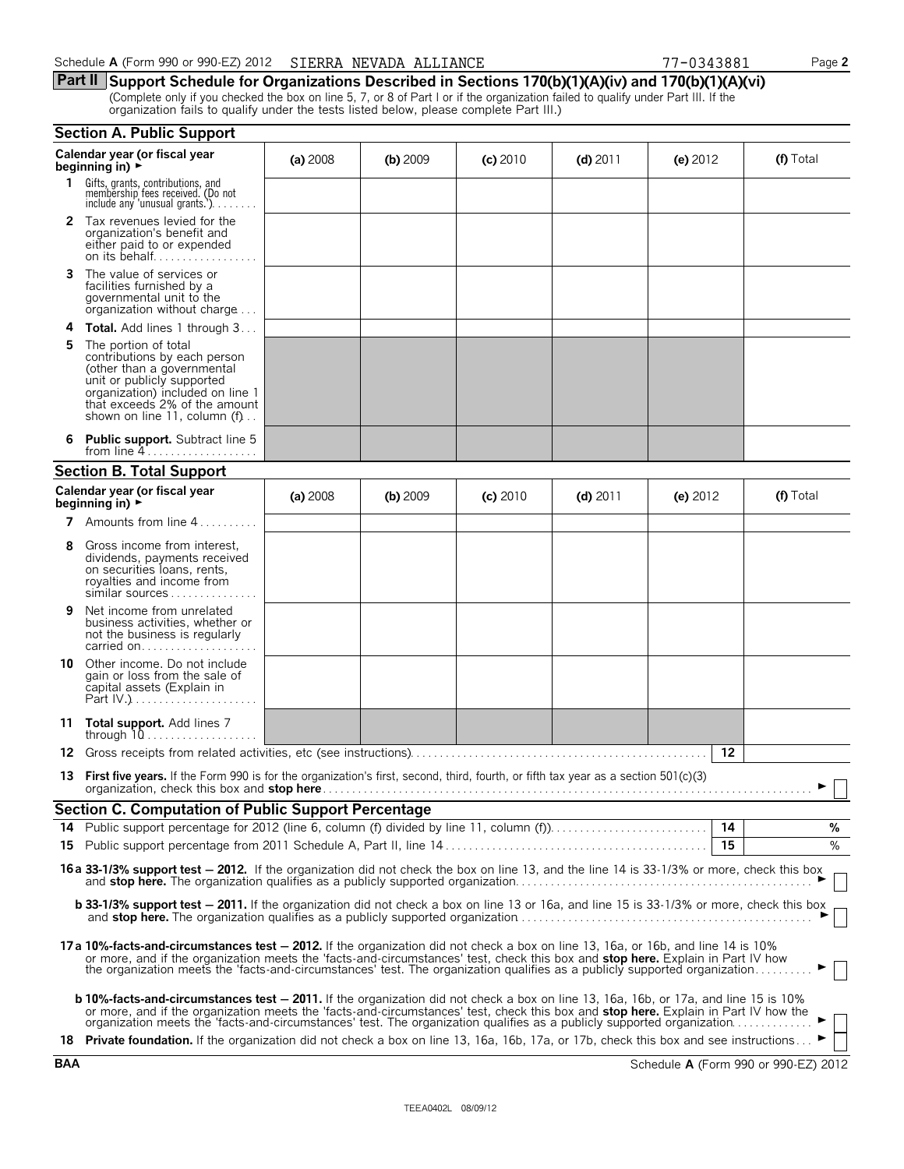**Part II Support Schedule for Organizations Described in Sections 170(b)(1)(A)(iv) and 170(b)(1)(A)(vi)** (Complete only if you checked the box on line 5, 7, or 8 of Part I or if the organization failed to qualify under Part III. If the organization fails to qualify under the tests listed below, please complete Part III.)

|    | <b>Section A. Public Support</b>                                                                                                                                                                                                                                                                                                                                                                                                                                                                                         |          |            |            |            |            |           |
|----|--------------------------------------------------------------------------------------------------------------------------------------------------------------------------------------------------------------------------------------------------------------------------------------------------------------------------------------------------------------------------------------------------------------------------------------------------------------------------------------------------------------------------|----------|------------|------------|------------|------------|-----------|
|    | Calendar year (or fiscal year<br>beginning in) $\rightarrow$                                                                                                                                                                                                                                                                                                                                                                                                                                                             | (a) 2008 | $(b)$ 2009 | $(c)$ 2010 | $(d)$ 2011 | (e) $2012$ | (f) Total |
| 1. | Gifts, grants, contributions, and<br>membership fees received. (Do not<br>include any 'unusual grants.')                                                                                                                                                                                                                                                                                                                                                                                                                 |          |            |            |            |            |           |
|    | 2 Tax revenues levied for the<br>organization's benefit and<br>either paid to or expended                                                                                                                                                                                                                                                                                                                                                                                                                                |          |            |            |            |            |           |
| 3  | The value of services or<br>facilities furnished by a<br>governmental unit to the<br>organization without charge                                                                                                                                                                                                                                                                                                                                                                                                         |          |            |            |            |            |           |
|    | <b>4 Total.</b> Add lines 1 through 3                                                                                                                                                                                                                                                                                                                                                                                                                                                                                    |          |            |            |            |            |           |
| 5  | The portion of total<br>contributions by each person<br>(other than a governmental<br>unit or publicly supported<br>organization) included on line 1<br>that exceeds 2% of the amount<br>shown on line 11, column (f)                                                                                                                                                                                                                                                                                                    |          |            |            |            |            |           |
|    | <b>Public support.</b> Subtract line 5<br>from line $4$                                                                                                                                                                                                                                                                                                                                                                                                                                                                  |          |            |            |            |            |           |
|    | <b>Section B. Total Support</b>                                                                                                                                                                                                                                                                                                                                                                                                                                                                                          |          |            |            |            |            |           |
|    | Calendar year (or fiscal year<br>beginning in) $\rightarrow$                                                                                                                                                                                                                                                                                                                                                                                                                                                             | (a) 2008 | $(b)$ 2009 | (c) 2010   | $(d)$ 2011 | (e) $2012$ | (f) Total |
|    | <b>7</b> Amounts from line $4$                                                                                                                                                                                                                                                                                                                                                                                                                                                                                           |          |            |            |            |            |           |
| 8  | Gross income from interest,<br>dividends, payments received<br>on securities loans, rents,<br>royalties and income from<br>similar sources                                                                                                                                                                                                                                                                                                                                                                               |          |            |            |            |            |           |
| 9  | Net income from unrelated<br>business activities, whether or<br>not the business is regularly<br>carried on                                                                                                                                                                                                                                                                                                                                                                                                              |          |            |            |            |            |           |
| 10 | Other income. Do not include<br>gain or loss from the sale of<br>capital assets (Explain in                                                                                                                                                                                                                                                                                                                                                                                                                              |          |            |            |            |            |           |
|    | 11 Total support. Add lines 7<br>through $10$                                                                                                                                                                                                                                                                                                                                                                                                                                                                            |          |            |            |            |            |           |
| 12 |                                                                                                                                                                                                                                                                                                                                                                                                                                                                                                                          |          |            |            |            | 12         |           |
|    | 13 First five years. If the Form 990 is for the organization's first, second, third, fourth, or fifth tax year as a section 501(c)(3)<br>organization, check this box and stop here                                                                                                                                                                                                                                                                                                                                      |          |            |            |            |            |           |
|    | <b>Section C. Computation of Public Support Percentage</b>                                                                                                                                                                                                                                                                                                                                                                                                                                                               |          |            |            |            |            |           |
|    | 14 Public support percentage for 2012 (line 6, column (f) divided by line 11, column (f).                                                                                                                                                                                                                                                                                                                                                                                                                                |          |            |            |            | 14         | %         |
|    |                                                                                                                                                                                                                                                                                                                                                                                                                                                                                                                          |          |            |            |            | 15         | $\%$      |
|    | 16a 33-1/3% support test - 2012. If the organization did not check the box on line 13, and the line 14 is 33-1/3% or more, check this box                                                                                                                                                                                                                                                                                                                                                                                |          |            |            |            |            |           |
|    | <b>b 33-1/3% support test - 2011.</b> If the organization did not check a box on line 13 or 16a, and line 15 is 33-1/3% or more, check this box                                                                                                                                                                                                                                                                                                                                                                          |          |            |            |            |            |           |
|    | 17a 10%-facts-and-circumstances test - 2012. If the organization did not check a box on line 13, 16a, or 16b, and line 14 is 10%<br>or more, and if the organization meets the 'facts-and-circumstances' test, check this box and stop here. Explain in Part IV how<br>the organization meets the 'facts-and-circumstances' test. The organization qualifies as a pub                                                                                                                                                    |          |            |            |            |            |           |
|    | <b>b 10%-facts-and-circumstances test - 2011.</b> If the organization did not check a box on line 13, 16a, 16b, or 17a, and line 15 is 10%<br>or more, and if the organization meets the 'facts-and-circumstances' test, check this box and <b>stop here.</b> Explain in Part IV how the organization meets the 'facts-and-circumstances' test. The organization qualifies as a<br>18 Private foundation. If the organization did not check a box on line 13, 16a, 16b, 17a, or 17b, check this box and see instructions |          |            |            |            |            |           |

**BAA** Schedule **A** (Form 990 or 990-EZ) 2012

|  | n.<br>c |
|--|---------|
|  |         |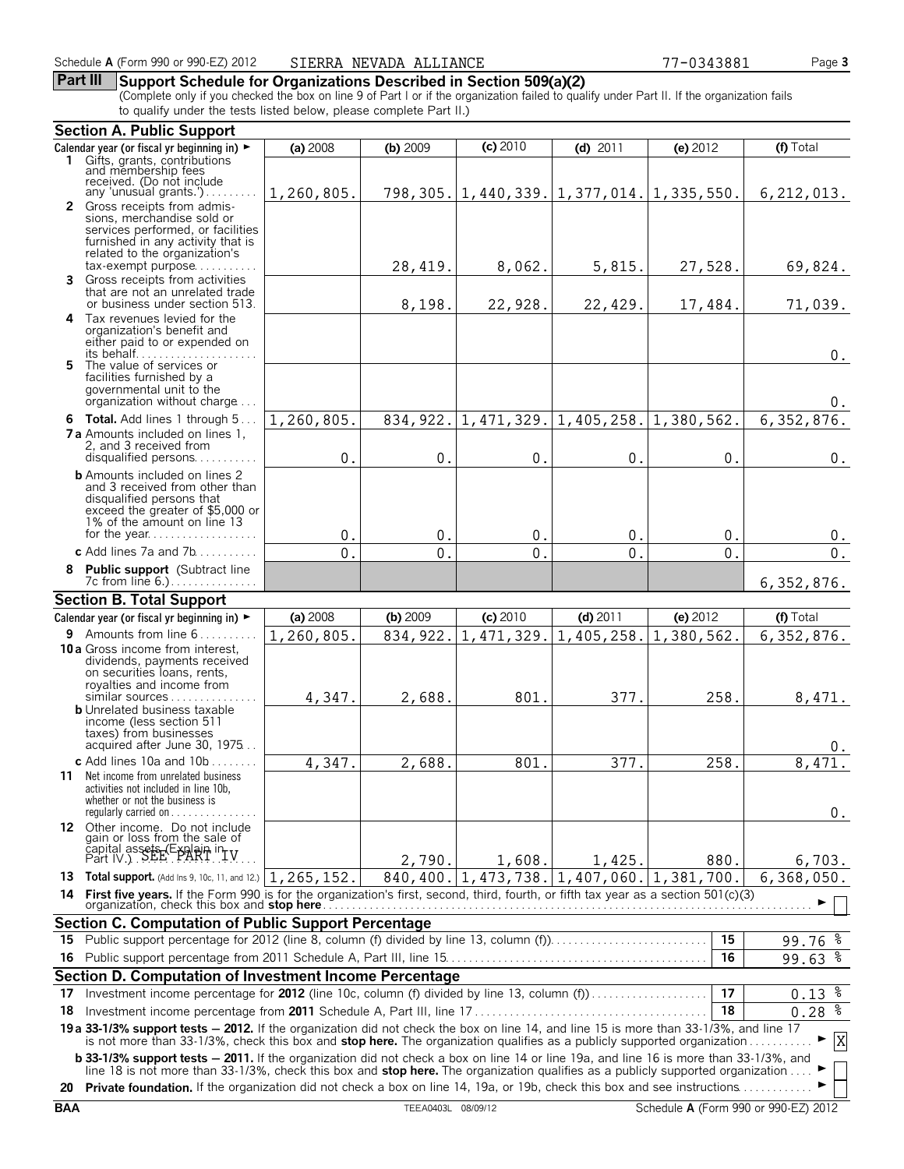## **Part III Support Schedule for Organizations Described in Section 509(a)(2)**

(Complete only if you checked the box on line 9 of Part I or if the organization failed to qualify under Part II. If the organization fails to qualify under the tests listed below, please complete Part II.)

|    | <b>Section A. Public Support</b>                                                                                                                                                                                                                                      |            |            |                                                  |                            |            |                     |
|----|-----------------------------------------------------------------------------------------------------------------------------------------------------------------------------------------------------------------------------------------------------------------------|------------|------------|--------------------------------------------------|----------------------------|------------|---------------------|
|    | Calendar year (or fiscal yr beginning in) $\blacktriangleright$                                                                                                                                                                                                       | (a) 2008   | (b) 2009   | $(c)$ 2010                                       | (d) $2011$                 | (e) 2012   | $(f)$ Total         |
|    | 1 Gifts, grants, contributions<br>and membership fees                                                                                                                                                                                                                 |            |            |                                                  |                            |            |                     |
|    | received. (Do not include                                                                                                                                                                                                                                             |            |            |                                                  |                            |            |                     |
|    | any 'unusual grants.')                                                                                                                                                                                                                                                | 1,260,805. |            | 798, 305. 1, 440, 339. 1, 377, 014. 1, 335, 550. |                            |            | 6, 212, 013.        |
|    | <b>2</b> Gross receipts from admis-<br>sions, merchandise sold or                                                                                                                                                                                                     |            |            |                                                  |                            |            |                     |
|    | services performed, or facilities                                                                                                                                                                                                                                     |            |            |                                                  |                            |            |                     |
|    | furnished in any activity that is                                                                                                                                                                                                                                     |            |            |                                                  |                            |            |                     |
|    | related to the organization's<br>$tax\text{-}exempt$ purpose                                                                                                                                                                                                          |            | 28,419.    | 8,062.                                           | 5,815.                     | 27,528.    | 69,824.             |
|    | 3 Gross receipts from activities                                                                                                                                                                                                                                      |            |            |                                                  |                            |            |                     |
|    | that are not an unrelated trade                                                                                                                                                                                                                                       |            |            |                                                  |                            |            |                     |
|    | or business under section 513.                                                                                                                                                                                                                                        |            | 8,198.     | 22,928.                                          | 22,429.                    | 17,484.    | 71,039.             |
|    | 4 Tax revenues levied for the<br>organization's benefit and                                                                                                                                                                                                           |            |            |                                                  |                            |            |                     |
|    | either paid to or expended on                                                                                                                                                                                                                                         |            |            |                                                  |                            |            |                     |
|    |                                                                                                                                                                                                                                                                       |            |            |                                                  |                            |            | $0$ .               |
|    | 5 The value of services or<br>facilities furnished by a                                                                                                                                                                                                               |            |            |                                                  |                            |            |                     |
|    | governmental unit to the                                                                                                                                                                                                                                              |            |            |                                                  |                            |            |                     |
|    | organization without charge                                                                                                                                                                                                                                           |            |            |                                                  |                            |            | 0.                  |
|    | 6 Total. Add lines 1 through 5.                                                                                                                                                                                                                                       | 1,260,805. |            | 834, 922. 1, 471, 329. 1, 405, 258.              |                            | 1,380,562. | 6,352,876.          |
|    | <b>7 a</b> Amounts included on lines 1.                                                                                                                                                                                                                               |            |            |                                                  |                            |            |                     |
|    | 2. and 3 received from<br>disqualified persons                                                                                                                                                                                                                        | 0.         | 0.         | 0.                                               | 0.                         | 0.         | $0$ .               |
|    | <b>b</b> Amounts included on lines 2                                                                                                                                                                                                                                  |            |            |                                                  |                            |            |                     |
|    | and 3 received from other than                                                                                                                                                                                                                                        |            |            |                                                  |                            |            |                     |
|    | disqualified persons that<br>exceed the greater of \$5,000 or                                                                                                                                                                                                         |            |            |                                                  |                            |            |                     |
|    | 1% of the amount on line 13                                                                                                                                                                                                                                           |            |            |                                                  |                            |            |                     |
|    |                                                                                                                                                                                                                                                                       | 0.         | 0.         | $\mathbf 0$ .                                    | 0.                         | 0.         | 0.                  |
|    | c Add lines $7a$ and $7b$                                                                                                                                                                                                                                             | 0.         | 0.         | $\mathbf 0$ .                                    | 0.                         | 0.         | $0$ .               |
|    | 8 Public support (Subtract line                                                                                                                                                                                                                                       |            |            |                                                  |                            |            |                     |
|    | 7c from line 6.)                                                                                                                                                                                                                                                      |            |            |                                                  |                            |            | 6,352,876.          |
|    | <b>Section B. Total Support</b>                                                                                                                                                                                                                                       |            |            |                                                  |                            |            |                     |
|    | Calendar year (or fiscal yr beginning in) $\blacktriangleright$                                                                                                                                                                                                       | (a) 2008   | $(b)$ 2009 | (c) 2010                                         | $(d)$ 2011                 | (e) 2012   | (f) Total           |
|    | <b>9</b> Amounts from line $6, \ldots, \ldots$                                                                                                                                                                                                                        | 1,260,805. | 834, 922.  | 1,471,329.                                       | 1,405,258.                 | 1,380,562. | 6, 352, 876.        |
|    | 10 a Gross income from interest.<br>dividends, payments received                                                                                                                                                                                                      |            |            |                                                  |                            |            |                     |
|    |                                                                                                                                                                                                                                                                       |            |            |                                                  |                            |            |                     |
|    | on securities loans, rents,                                                                                                                                                                                                                                           |            |            |                                                  |                            |            |                     |
|    | royalties and income from                                                                                                                                                                                                                                             |            |            |                                                  |                            |            |                     |
|    | similar sources                                                                                                                                                                                                                                                       | 4,347.     | 2,688.     | 801.                                             | 377.                       | 258.       | 8,471.              |
|    | <b>b</b> Unrelated business taxable<br>income (less section 511                                                                                                                                                                                                       |            |            |                                                  |                            |            |                     |
|    | taxes) from businesses                                                                                                                                                                                                                                                |            |            |                                                  |                            |            |                     |
|    | acquired after June 30, 1975                                                                                                                                                                                                                                          |            |            |                                                  |                            |            | 0.                  |
|    | c Add lines $10a$ and $10b$                                                                                                                                                                                                                                           | 4,347.     | 2,688.     | 801.                                             | 377.                       | 258.       | 8,471.              |
|    | 11 Net income from unrelated business<br>activities not included in line 10b,                                                                                                                                                                                         |            |            |                                                  |                            |            |                     |
|    | whether or not the business is                                                                                                                                                                                                                                        |            |            |                                                  |                            |            |                     |
|    | regularly carried on $\ldots \ldots \ldots \ldots$                                                                                                                                                                                                                    |            |            |                                                  |                            |            | 0.                  |
|    | 12 Other income. Do not include                                                                                                                                                                                                                                       |            |            |                                                  |                            |            |                     |
|    | gain or loss from the sale of                                                                                                                                                                                                                                         |            |            |                                                  |                            |            |                     |
|    | capital assets (Explain in LV<br>Part IV.) SEE PART TV                                                                                                                                                                                                                |            | 2,790.     | 1,608.                                           | 1,425.                     | 880.       | 6,703.              |
|    | 13 Total support. (Add Ins 9, 10c, 11, and 12.) 1, 265, 152.                                                                                                                                                                                                          |            | 840,400.   |                                                  | $1,473,738.$ $ 1,407,060.$ | 1,381,700. | 6,368,050.          |
|    | 14 First five years. If the Form 990 is for the organization's first, second, third, fourth, or fifth tax year as a section 501(c)(3)                                                                                                                                 |            |            |                                                  |                            |            |                     |
|    |                                                                                                                                                                                                                                                                       |            |            |                                                  |                            |            |                     |
|    | Section C. Computation of Public Support Percentage                                                                                                                                                                                                                   |            |            |                                                  |                            | 15         |                     |
|    |                                                                                                                                                                                                                                                                       |            |            |                                                  |                            | 16         | 99.76 $\frac{8}{3}$ |
|    |                                                                                                                                                                                                                                                                       |            |            |                                                  |                            |            | $99.63$ $%$         |
|    | Section D. Computation of Investment Income Percentage                                                                                                                                                                                                                |            |            |                                                  |                            |            |                     |
| 17 | Investment income percentage for 2012 (line 10c, column (f) divided by line 13, column (f)                                                                                                                                                                            |            |            |                                                  |                            | 17<br>18   | $0.13$ $%$          |
| 18 |                                                                                                                                                                                                                                                                       |            |            |                                                  |                            |            | $0.28 \frac{2}{3}$  |
|    | 19 a 33-1/3% support tests - 2012. If the organization did not check the box on line 14, and line 15 is more than 33-1/3%, and line 17<br>is not more than 33-1/3%, check this box and stop here. The organization qualifies as a publicly supported organization     |            |            |                                                  |                            |            | $\mathbf X$         |
|    | <b>b 33-1/3% support tests - 2011.</b> If the organization did not check a box on line 14 or line 19a, and line 16 is more than 33-1/3%, and                                                                                                                          |            |            |                                                  |                            |            |                     |
|    | line 18 is not more than 33-1/3%, check this box and <b>stop here.</b> The organization qualifies as a publicly supported organization<br>20 Private foundation. If the organization did not check a box on line 14, 19a, or 19b, check this box and see instructions |            |            |                                                  |                            |            |                     |